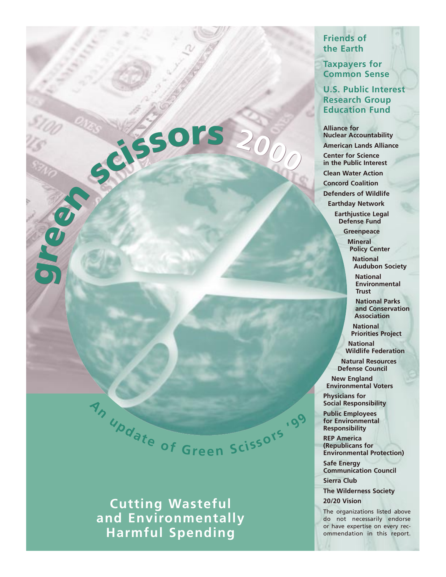#### **Friends of the Earth**

**Taxpayers for Common Sense**

**U.S. Public Interest Research Group Education Fund**

**Alliance for Nuclear Accountability American Lands Alliance Center for Science in the Public Interest Clean Water Action Concord Coalition Defenders of Wildlife Earthday Network Earthjustice Legal Defense Fund**

> **Greenpeace Mineral**

**Policy Center National** 

**Audubon Society National**

**Environmental Trust**

**National Parks and Conservation Association**

**National Priorities Project**

**National Wildlife Federation**

**Natural Resources Defense Council**

**New England Environmental Voters**

**Physicians for Social Responsibility**

**Public Employees for Environmental Responsibility**

**'9<sup>9</sup>**

**REP America (Republicans for Environmental Protection)**

**Safe Energy Communication Council**

**Sierra Club**

**The Wilderness Society 20/20 Vision**

The organizations listed above do not necessarily endorse or have expertise on every recommendation in this report.

ree<sup>n</sup> <sup>s</sup>cissor<sup>s</sup> **<sup>2</sup>00<sup>0</sup>** <sup>e</sup><sup>n</sup> <sup>s</sup>issor<sup>s</sup> **<sup>2</sup>00<sup>0</sup>**

g g

**<sup>A</sup><sup>n</sup> <sup>u</sup>pdat<sup>e</sup> <sup>o</sup><sup>f</sup> <sup>G</sup><sup>r</sup>ee<sup>n</sup> <sup>S</sup>c<sup>i</sup> <sup>s</sup>sor<sup>s</sup>**

**Cutting Wasteful and Environmentally Harmful Spending**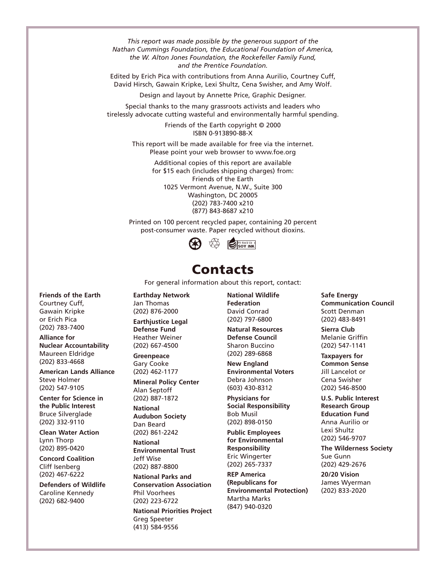*This report was made possible by the generous support of the Nathan Cummings Foundation, the Educational Foundation of America, the W. Alton Jones Foundation, the Rockefeller Family Fund, and the Prentice Foundation.*

Edited by Erich Pica with contributions from Anna Aurilio, Courtney Cuff, David Hirsch, Gawain Kripke, Lexi Shultz, Cena Swisher, and Amy Wolf.

Design and layout by Annette Price, Graphic Designer.

Special thanks to the many grassroots activists and leaders who tirelessly advocate cutting wasteful and environmentally harmful spending.

> Friends of the Earth copyright © 2000 ISBN 0-913890-88-X

This report will be made available for free via the internet. Please point your web browser to www.foe.org

> Additional copies of this report are available for \$15 each (includes shipping charges) from: Friends of the Earth 1025 Vermont Avenue, N.W., Suite 300 Washington, DC 20005 (202) 783-7400 x210 (877) 843-8687 x210

Printed on 100 percent recycled paper, containing 20 percent post-consumer waste. Paper recycled without dioxins.



#### Contacts

For general information about this report, contact:

**Friends of the Earth**  Courtney Cuff, Gawain Kripke or Erich Pica (202) 783-7400

**Alliance for Nuclear Accountability**  Maureen Eldridge (202) 833-4668

**American Lands Alliance**  Steve Holmer (202) 547-9105

**Center for Science in the Public Interest**  Bruce Silverglade (202) 332-9110

**Clean Water Action**  Lynn Thorp (202) 895-0420

**Concord Coalition**  Cliff Isenberg (202) 467-6222

**Defenders of Wildlife**  Caroline Kennedy (202) 682-9400

**Earthday Network** Jan Thomas (202) 876-2000

**Earthjustice Legal Defense Fund**  Heather Weiner (202) 667-4500

**Greenpeace** Gary Cooke (202) 462-1177

**Mineral Policy Center**  Alan Septoff (202) 887-1872

**National Audubon Society**  Dan Beard

(202) 861-2242 **National** 

**Environmental Trust**  Jeff Wise (202) 887-8800

**National Parks and Conservation Association**  Phil Voorhees (202) 223-6722

**National Priorities Project**  Greg Speeter (413) 584-9556

**National Wildlife Federation**  David Conrad (202) 797-6800

**Natural Resources Defense Council**  Sharon Buccino (202) 289-6868

**New England Environmental Voters**  Debra Johnson (603) 430-8312

**Physicians for Social Responsibility**  Bob Musil (202) 898-0150

**Public Employees for Environmental Responsibility**  Eric Wingerter (202) 265-7337

**REP America (Republicans for Environmental Protection)**  Martha Marks (847) 940-0320

**Safe Energy Communication Council**  Scott Denman (202) 483-8491

**Sierra Club**  Melanie Griffin (202) 547-1141

**Taxpayers for Common Sense**  Jill Lancelot or Cena Swisher (202) 546-8500

**U.S. Public Interest Research Group Education Fund** Anna Aurilio or Lexi Shultz (202) 546-9707

**The Wilderness Society**  Sue Gunn (202) 429-2676

**20/20 Vision**  James Wyerman (202) 833-2020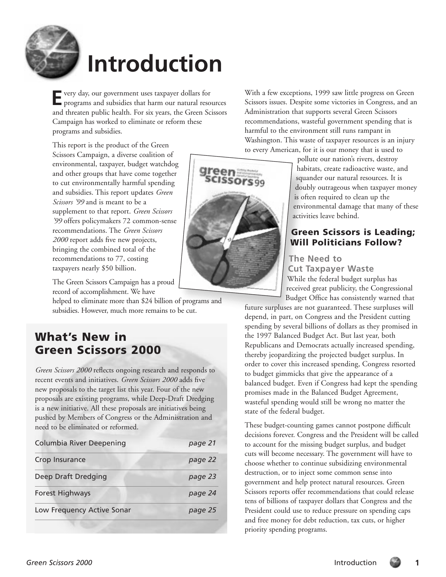

# **Introduction**

**E**very day, our government uses taxpayer dollars for programs and subsidies that harm our natural resources and threaten public health. For six years, the Green Scissors Campaign has worked to eliminate or reform these programs and subsidies.

This report is the product of the Green Scissors Campaign, a diverse coalition of environmental, taxpayer, budget watchdog and other groups that have come together to cut environmentally harmful spending and subsidies. This report updates *Green Scissors '99* and is meant to be a supplement to that report. *Green Scissors '99* offers policymakers 72 common-sense recommendations. The *Green Scissors 2000* report adds five new projects, bringing the combined total of the recommendations to 77, costing taxpayers nearly \$50 billion.

The Green Scissors Campaign has a proud record of accomplishment. We have

helped to eliminate more than \$24 billion of programs and subsidies. However, much more remains to be cut.

### What's New in Green Scissors 2000

*Green Scissors 2000* reflects ongoing research and responds to recent events and initiatives. *Green Scissors 2000* adds five new proposals to the target list this year. Four of the new proposals are existing programs, while Deep-Draft Dredging is a new initiative. All these proposals are initiatives being pushed by Members of Congress or the Administration and need to be eliminated or reformed.

| page 21 |  |
|---------|--|
| page 22 |  |
| page 23 |  |
| page 24 |  |
| page 25 |  |
|         |  |

With a few exceptions, 1999 saw little progress on Green Scissors issues. Despite some victories in Congress, and an Administration that supports several Green Scissors recommendations, wasteful government spending that is harmful to the environment still runs rampant in Washington. This waste of taxpayer resources is an injury to every American, for it is our money that is used to



pollute our nation's rivers, destroy habitats, create radioactive waste, and squander our natural resources. It is doubly outrageous when taxpayer money is often required to clean up the environmental damage that many of these activities leave behind.

#### Green Scissors is Leading; Will Politicians Follow?

#### **The Need to**

**Cut Taxpayer Waste** While the federal budget surplus has received great publicity, the Congressional Budget Office has consistently warned that

future surpluses are not guaranteed. These surpluses will depend, in part, on Congress and the President cutting spending by several billions of dollars as they promised in the 1997 Balanced Budget Act. But last year, both Republicans and Democrats actually increased spending, thereby jeopardizing the projected budget surplus. In order to cover this increased spending, Congress resorted to budget gimmicks that give the appearance of a balanced budget. Even if Congress had kept the spending promises made in the Balanced Budget Agreement, wasteful spending would still be wrong no matter the state of the federal budget.

These budget-counting games cannot postpone difficult decisions forever. Congress and the President will be called to account for the missing budget surplus, and budget cuts will become necessary. The government will have to choose whether to continue subsidizing environmental destruction, or to inject some common sense into government and help protect natural resources. Green Scissors reports offer recommendations that could release tens of billions of taxpayer dollars that Congress and the President could use to reduce pressure on spending caps and free money for debt reduction, tax cuts, or higher priority spending programs.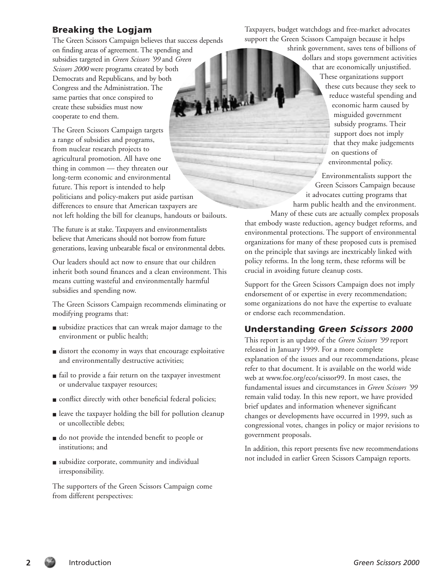#### Breaking the Logjam

The Green Scissors Campaign believes that success depends on finding areas of agreement. The spending and subsidies targeted in *Green Scissors '99* and *Green Scissors 2000* were programs created by both Democrats and Republicans, and by both Congress and the Administration. The same parties that once conspired to create these subsidies must now cooperate to end them.

The Green Scissors Campaign targets a range of subsidies and programs, from nuclear research projects to agricultural promotion. All have one thing in common — they threaten our long-term economic and environmental future. This report is intended to help politicians and policy-makers put aside partisan differences to ensure that American taxpayers are not left holding the bill for cleanups, handouts or bailouts.

The future is at stake. Taxpayers and environmentalists believe that Americans should not borrow from future generations, leaving unbearable fiscal or environmental debts.

Our leaders should act now to ensure that our children inherit both sound finances and a clean environment. This means cutting wasteful and environmentally harmful subsidies and spending now.

The Green Scissors Campaign recommends eliminating or modifying programs that:

- subsidize practices that can wreak major damage to the environment or public health;
- distort the economy in ways that encourage exploitative and environmentally destructive activities;
- fail to provide a fair return on the taxpayer investment or undervalue taxpayer resources;
- conflict directly with other beneficial federal policies;
- leave the taxpayer holding the bill for pollution cleanup or uncollectible debts;
- do not provide the intended benefit to people or institutions; and
- subsidize corporate, community and individual irresponsibility.

The supporters of the Green Scissors Campaign come from different perspectives:

Taxpayers, budget watchdogs and free-market advocates support the Green Scissors Campaign because it helps

> shrink government, saves tens of billions of dollars and stops government activities that are economically unjustified. These organizations support these cuts because they seek to reduce wasteful spending and economic harm caused by misguided government subsidy programs. Their support does not imply that they make judgements on questions of environmental policy.

Environmentalists support the Green Scissors Campaign because it advocates cutting programs that harm public health and the environment.

Many of these cuts are actually complex proposals that embody waste reduction, agency budget reforms, and environmental protections. The support of environmental organizations for many of these proposed cuts is premised on the principle that savings are inextricably linked with policy reforms. In the long term, these reforms will be crucial in avoiding future cleanup costs.

Support for the Green Scissors Campaign does not imply endorsement of or expertise in every recommendation; some organizations do not have the expertise to evaluate or endorse each recommendation.

#### Understanding *Green Scissors 2000*

This report is an update of the *Green Scissors '99* report released in January 1999. For a more complete explanation of the issues and our recommendations, please refer to that document. It is available on the world wide web at www.foe.org/eco/scissor99. In most cases, the fundamental issues and circumstances in *Green Scissors '99* remain valid today. In this new report, we have provided brief updates and information whenever significant changes or developments have occurred in 1999, such as congressional votes, changes in policy or major revisions to government proposals.

In addition, this report presents five new recommendations not included in earlier Green Scissors Campaign reports.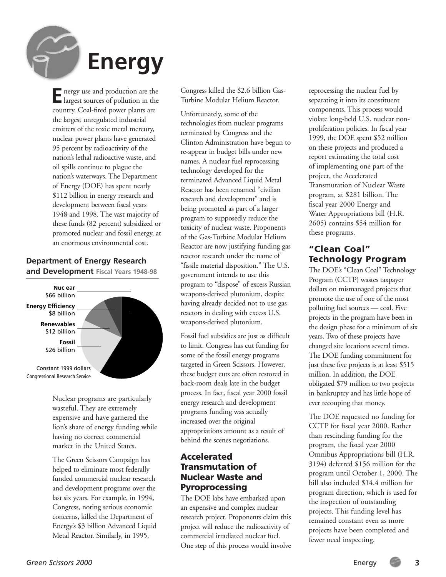

**E** nergy use and production are the largest sources of pollution in the country. Coal-fired power plants are the largest unregulated industrial emitters of the toxic metal mercury, nuclear power plants have generated 95 percent by radioactivity of the nation's lethal radioactive waste, and oil spills continue to plague the nation's waterways. The Department of Energy (DOE) has spent nearly \$112 billion in energy research and development between fiscal years 1948 and 1998. The vast majority of these funds (82 percent) subsidized or promoted nuclear and fossil energy, at an enormous environmental cost.

#### **Department of Energy Research and Development Fiscal Years 1948-98**



Nuclear programs are particularly wasteful. They are extremely expensive and have garnered the lion's share of energy funding while having no correct commercial market in the United States.

The Green Scissors Campaign has helped to eliminate most federally funded commercial nuclear research and development programs over the last six years. For example, in 1994, Congress, noting serious economic concerns, killed the Department of Energy's \$3 billion Advanced Liquid Metal Reactor. Similarly, in 1995,

Congress killed the \$2.6 billion Gas-Turbine Modular Helium Reactor.

Unfortunately, some of the technologies from nuclear programs terminated by Congress and the Clinton Administration have begun to re-appear in budget bills under new names. A nuclear fuel reprocessing technology developed for the terminated Advanced Liquid Metal Reactor has been renamed "civilian research and development" and is being promoted as part of a larger program to supposedly reduce the toxicity of nuclear waste. Proponents of the Gas-Turbine Modular Helium Reactor are now justifying funding gas reactor research under the name of "fissile material disposition." The U.S. government intends to use this program to "dispose" of excess Russian weapons-derived plutonium, despite having already decided not to use gas reactors in dealing with excess U.S. weapons-derived plutonium.

Fossil fuel subsidies are just as difficult to limit. Congress has cut funding for some of the fossil energy programs targeted in Green Scissors. However, these budget cuts are often restored in back-room deals late in the budget process. In fact, fiscal year 2000 fossil energy research and development programs funding was actually increased over the original appropriations amount as a result of behind the scenes negotiations.

#### Accelerated Transmutation of Nuclear Waste and Pyroprocessing

The DOE labs have embarked upon an expensive and complex nuclear research project. Proponents claim this project will reduce the radioactivity of commercial irradiated nuclear fuel. One step of this process would involve

reprocessing the nuclear fuel by separating it into its constituent components. This process would violate long-held U.S. nuclear nonproliferation policies. In fiscal year 1999, the DOE spent \$52 million on these projects and produced a report estimating the total cost of implementing one part of the project, the Accelerated Transmutation of Nuclear Waste program, at \$281 billion. The fiscal year 2000 Energy and Water Appropriations bill (H.R. 2605) contains \$54 million for these programs.

#### "Clean Coal" Technology Program

The DOE's "Clean Coal" Technology Program (CCTP) wastes taxpayer dollars on mismanaged projects that promote the use of one of the most polluting fuel sources — coal. Five projects in the program have been in the design phase for a minimum of six years. Two of these projects have changed site locations several times. The DOE funding commitment for just these five projects is at least \$515 million. In addition, the DOE obligated \$79 million to two projects in bankruptcy and has little hope of ever recouping that money.

The DOE requested no funding for CCTP for fiscal year 2000. Rather than rescinding funding for the program, the fiscal year 2000 Omnibus Appropriations bill (H.R. 3194) deferred \$156 million for the program until October 1, 2000. The bill also included \$14.4 million for program direction, which is used for the inspection of outstanding projects. This funding level has remained constant even as more projects have been completed and fewer need inspecting.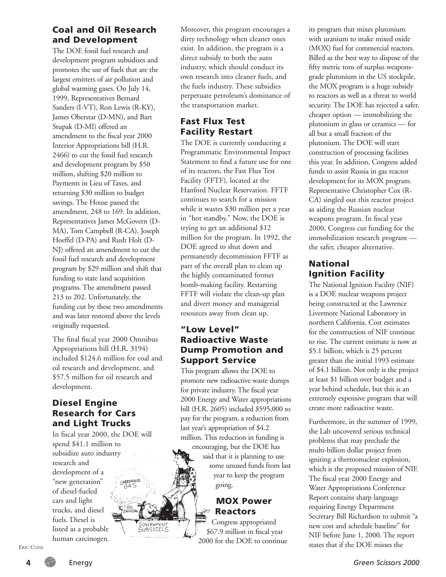#### Coal and Oil Research and Development

The DOE fossil fuel research and development program subsidizes and promotes the use of fuels that are the largest emitters of air pollution and global warming gases. On July 14, 1999, Representatives Bernard Sanders (I-VT), Ron Lewis (R-KY), James Oberstar (D-MN), and Bart Stupak (D-MI) offered an amendment to the fiscal year 2000 Interior Appropriations bill (H.R. 2466) to cut the fossil fuel research and development program by \$50 million, shifting \$20 million to Payments in Lieu of Taxes, and returning \$30 million to budget savings. The House passed the amendment, 248 to 169. In addition, Representatives James McGovern (D-MA), Tom Campbell (R-CA), Joseph Hoeffel (D-PA) and Rush Holt (D-NJ) offered an amendment to cut the fossil fuel research and development program by \$29 million and shift that funding to state land acquisition programs. The amendment passed 213 to 202. Unfortunately, the funding cut by these two amendments and was later restored above the levels originally requested.

The final fiscal year 2000 Omnibus Appropriations bill (H.R. 3194) included \$124.6 million for coal and oil research and development, and \$57.5 million for oil research and development.

#### Diesel Engine Research for Cars and Light Trucks

In fiscal year 2000, the DOE will spend \$41.1 million to subsidize auto industry research and development of a GREENHOUSE "new generation" of diesel-fueled cars and light trucks, and diesel fuels. Diesel is listed as a probable human carcinogen.

GOVERNMENT<br>SUBSIDIES

Moreover, this program encourages a dirty technology when cleaner ones exist. In addition, the program is a direct subsidy to both the auto industry, which should conduct its own research into cleaner fuels, and the fuels industry. These subsidies perpetuate petroleum's dominance of the transportation market.

#### Fast Flux Test Facility Restart

The DOE is currently conducting a Programmatic Environmental Impact Statement to find a future use for one of its reactors, the Fast Flux Test Facility (FFTF), located at the Hanford Nuclear Reservation. FFTF continues to search for a mission while it wastes \$30 million per a year in "hot standby." Now, the DOE is trying to get an additional \$12 million for the program. In 1992, the DOE agreed to shut down and permanently decommission FFTF as part of the overall plan to clean up the highly contaminated former bomb-making facility. Restarting FFTF will violate the clean-up plan and divert money and managerial resources away from clean up.

#### "Low Level" Radioactive Waste Dump Promotion and Support Service

This program allows the DOE to promote new radioactive waste dumps for private industry. The fiscal year 2000 Energy and Water appropriations bill (H.R. 2605) included \$595,000 to pay for the program, a reduction from last year's appropriation of \$4.2 million. This reduction in funding is

encouraging, but the DOE has said that it is planning to use some unused funds from last year to keep the program going.

#### MOX Power *<b>Reactors*

Congress appropriated \$67.9 million in fiscal year 2000 for the DOE to continue its program that mixes plutonium with uranium to make mixed oxide (MOX) fuel for commercial reactors. Billed as the best way to dispose of the fifty metric tons of surplus weaponsgrade plutonium in the US stockpile, the MOX program is a huge subsidy to reactors as well as a threat to world security. The DOE has rejected a safer, cheaper option — immobilizing the plutonium in glass or ceramics — for all but a small fraction of the plutonium. The DOE will start construction of processing facilities this year. In addition, Congress added funds to assist Russia in gas reactor development for its MOX program. Representative Christopher Cox (R-CA) singled out this reactor project as aiding the Russian nuclear weapons program. In fiscal year 2000, Congress cut funding for the immobilization research program the safer, cheaper alternative.

#### National Ignition Facility

The National Ignition Facility (NIF) is a DOE nuclear weapons project being constructed at the Lawrence Livermore National Laboratory in northern California. Cost estimates for the construction of NIF continue to rise. The current estimate is now at \$5.1 billion, which is 25 percent greater than the initial 1993 estimate of \$4.1 billion. Not only is the project at least \$1 billion over budget and a year behind schedule, but this is an extremely expensive program that will create more radioactive waste.

Furthermore, in the summer of 1999, the Lab uncovered serious technical problems that may preclude the multi-billion dollar project from igniting a thermonuclear explosion, which is the proposed mission of NIF. The fiscal year 2000 Energy and Water Appropriations Conference Report contains sharp language requiring Energy Department Secretary Bill Richardson to submit "a new cost and schedule baseline" for NIF before June 1, 2000. The report states that if the DOE misses the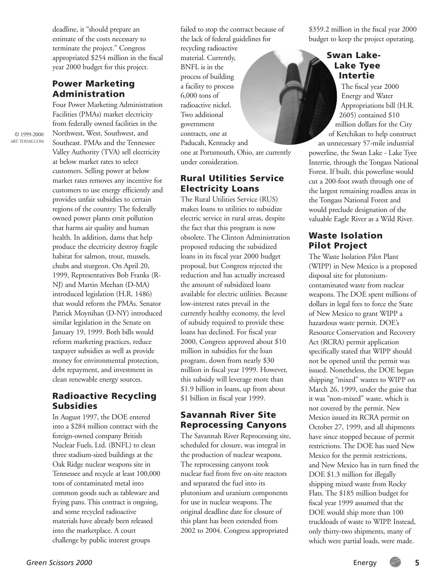deadline, it "should prepare an estimate of the costs necessary to terminate the project." Congress appropriated \$254 million in the fiscal year 2000 budget for this project.

#### Power Marketing Administration

Four Power Marketing Administration Facilities (PMAs) market electricity from federally owned facilities in the Northwest, West, Southwest, and Southeast. PMAs and the Tennessee Valley Authority (TVA) sell electricity at below market rates to select customers. Selling power at below market rates removes any incentive for customers to use energy efficiently and provides unfair subsidies to certain regions of the country. The federally owned power plants emit pollution that harms air quality and human health. In addition, dams that help produce the electricity destroy fragile habitat for salmon, trout, mussels, chubs and sturgeon. On April 20, 1999, Representatives Bob Franks (R-NJ) and Martin Meehan (D-MA) introduced legislation (H.R. 1486) that would reform the PMAs. Senator Patrick Moynihan (D-NY) introduced similar legislation in the Senate on January 19, 1999. Both bills would reform marketing practices, reduce taxpayer subsidies as well as provide money for environmental protection, debt repayment, and investment in clean renewable energy sources.

#### Radioactive Recycling Subsidies

In August 1997, the DOE entered into a \$284 million contract with the foreign-owned company British Nuclear Fuels, Ltd. (BNFL) to clean three stadium-sized buildings at the Oak Ridge nuclear weapons site in Tennessee and recycle at least 100,000 tons of contaminated metal into common goods such as tableware and frying pans. This contract is ongoing, and some recycled radioactive materials have already been released into the marketplace. A court challenge by public interest groups

failed to stop the contract because of the lack of federal guidelines for recycling radioactive material. Currently, BNFL is in the process of building a facility to process 6,000 tons of radioactive nickel. Two additional government contracts, one at Paducah, Kentucky and one at Portsmouth, Ohio, are currently under consideration.

#### Rural Utilities Service Electricity Loans

The Rural Utilities Service (RUS) makes loans to utilities to subsidize electric service in rural areas, despite the fact that this program is now obsolete. The Clinton Administration proposed reducing the subsidized loans in its fiscal year 2000 budget proposal, but Congress rejected the reduction and has actually increased the amount of subsidized loans available for electric utilities. Because low-interest rates prevail in the currently healthy economy, the level of subsidy required to provide these loans has declined. For fiscal year 2000, Congress approved about \$10 million in subsidies for the loan program, down from nearly \$30 million in fiscal year 1999. However, this subsidy will leverage more than \$1.9 billion in loans, up from about \$1 billion in fiscal year 1999.

#### Savannah River Site Reprocessing Canyons

The Savannah River Reprocessing site, scheduled for closure, was integral in the production of nuclear weapons. The reprocessing canyons took nuclear fuel from five on-site reactors and separated the fuel into its plutonium and uranium components for use in nuclear weapons. The original deadline date for closure of this plant has been extended from 2002 to 2004. Congress appropriated

\$359.2 million in the fiscal year 2000 budget to keep the project operating.

#### Swan Lake-Lake Tyee Intertie

The fiscal year 2000 Energy and Water Appropriations bill (H.R. 2605) contained \$10 million dollars for the City of Ketchikan to help construct

an unnecessary 57-mile industrial powerline, the Swan Lake - Lake Tyee Intertie, through the Tongass National Forest. If built, this powerline would cut a 200-foot swath through one of the largest remaining roadless areas in the Tongass National Forest and would preclude designation of the valuable Eagle River as a Wild River.

#### Waste Isolation Pilot Project

The Waste Isolation Pilot Plant (WIPP) in New Mexico is a proposed disposal site for plutoniumcontaminated waste from nuclear weapons. The DOE spent millions of dollars in legal fees to force the State of New Mexico to grant WIPP a hazardous waste permit. DOE's Resource Conservation and Recovery Act (RCRA) permit application specifically stated that WIPP should not be opened until the permit was issued. Nonetheless, the DOE began shipping "mixed" wastes to WIPP on March 26, 1999, under the guise that it was "non-mixed" waste, which is not covered by the permit. New Mexico issued its RCRA permit on October 27, 1999, and all shipments have since stopped because of permit restrictions. The DOE has sued New Mexico for the permit restrictions, and New Mexico has in turn fined the DOE \$1.3 million for illegally shipping mixed waste from Rocky Flats. The \$185 million budget for fiscal year 1999 assumed that the DOE would ship more than 100 truckloads of waste to WIPP. Instead, only thirty-two shipments, many of which were partial loads, were made.

© 1999-2000 ART TODAY.COM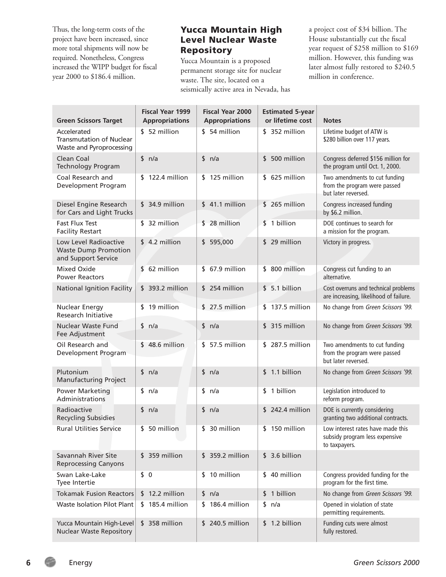Thus, the long-term costs of the project have been increased, since more total shipments will now be required. Nonetheless, Congress increased the WIPP budget for fiscal year 2000 to \$186.4 million.

#### Yucca Mountain High Level Nuclear Waste Repository

Yucca Mountain is a proposed permanent storage site for nuclear waste. The site, located on a seismically active area in Nevada, has a project cost of \$34 billion. The House substantially cut the fiscal year request of \$258 million to \$169 million. However, this funding was later almost fully restored to \$240.5 million in conference.

| <b>Green Scissors Target</b>                                                | <b>Fiscal Year 1999</b><br><b>Appropriations</b> | <b>Fiscal Year 2000</b><br><b>Appropriations</b> | <b>Estimated 5-year</b><br>or lifetime cost | <b>Notes</b>                                                                         |
|-----------------------------------------------------------------------------|--------------------------------------------------|--------------------------------------------------|---------------------------------------------|--------------------------------------------------------------------------------------|
| Accelerated<br><b>Transmutation of Nuclear</b><br>Waste and Pyroprocessing  | \$ 52 million                                    | \$54 million                                     | \$ 352 million                              | Lifetime budget of ATW is<br>\$280 billion over 117 years.                           |
| Clean Coal<br><b>Technology Program</b>                                     | \$ n/a                                           | \$<br>n/a                                        | 500 million<br>\$                           | Congress deferred \$156 million for<br>the program until Oct. 1, 2000.               |
| Coal Research and<br>Development Program                                    | \$122.4 million                                  | $$125$ million                                   | $$625$ million                              | Two amendments to cut funding<br>from the program were passed<br>but later reversed. |
| Diesel Engine Research<br>for Cars and Light Trucks                         | $$34.9$ million                                  | $$41.1$ million                                  | $$265$ million                              | Congress increased funding<br>by \$6.2 million.                                      |
| <b>Fast Flux Test</b><br><b>Facility Restart</b>                            | \$ 32 million                                    | \$28 million                                     | \$ 1 billion                                | DOE continues to search for<br>a mission for the program.                            |
| Low Level Radioactive<br><b>Waste Dump Promotion</b><br>and Support Service | $$4.2$ million                                   | 595,000<br>\$                                    | \$29 million                                | Victory in progress.                                                                 |
| Mixed Oxide<br><b>Power Reactors</b>                                        | 62 million<br>\$                                 | $$67.9$ million                                  | \$ 800 million                              | Congress cut funding to an<br>alternative.                                           |
| National Ignition Facility                                                  | \$ 393.2 million                                 | \$254 million                                    | \$5.1 billion                               | Cost overruns and technical problems<br>are increasing, likelihood of failure.       |
| <b>Nuclear Energy</b><br>Research Initiative                                | 19 million<br>\$                                 | 27.5 million<br>\$                               | \$137.5 million                             | No change from Green Scissors '99.                                                   |
| Nuclear Waste Fund<br>Fee Adjustment                                        | \$ n/a                                           | \$<br>n/a                                        | \$ 315 million                              | No change from Green Scissors '99.                                                   |
| Oil Research and<br>Development Program                                     | $$48.6$ million                                  | 57.5 million<br>\$                               | \$287.5 million                             | Two amendments to cut funding<br>from the program were passed<br>but later reversed. |
| Plutonium<br><b>Manufacturing Project</b>                                   | \$ n/a                                           | sin/a                                            | \$1.1 billion                               | No change from Green Scissors '99.                                                   |
| <b>Power Marketing</b><br>Administrations                                   | sin/a                                            | \$<br>n/a                                        | \$ 1 billion                                | Legislation introduced to<br>reform program.                                         |
| Radioactive<br><b>Recycling Subsidies</b>                                   | \$ n/a                                           | \$<br>n/a                                        | \$242.4 million                             | DOE is currently considering<br>granting two additional contracts.                   |
| <b>Rural Utilities Service</b>                                              | \$ 50 million                                    | \$ 30 million                                    | \$150 million                               | Low interest rates have made this<br>subsidy program less expensive<br>to taxpayers. |
| Savannah River Site<br><b>Reprocessing Canyons</b>                          | 359 million<br>S.                                | 359.2 million<br>\$                              | \$3.6 billion                               |                                                                                      |
| Swan Lake-Lake<br>Tyee Intertie                                             | \$0                                              | \$ 10 million                                    | \$ 40 million                               | Congress provided funding for the<br>program for the first time.                     |
| <b>Tokamak Fusion Reactors</b>                                              | $$12.2$ million                                  | sin/a                                            | 1 billion<br>S.                             | No change from Green Scissors '99.                                                   |
| Waste Isolation Pilot Plant                                                 | \$185.4 million                                  | 186.4 million<br>S.                              | sin/a                                       | Opened in violation of state<br>permitting requirements.                             |
| Yucca Mountain High-Level<br><b>Nuclear Waste Repository</b>                | $$358$ million                                   | 240.5 million<br>\$                              | \$1.2 billion                               | Funding cuts were almost<br>fully restored.                                          |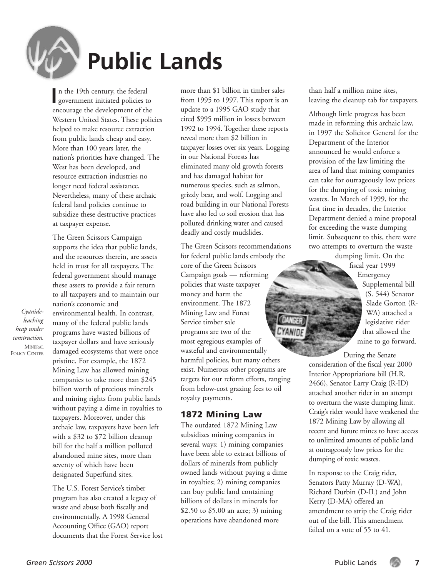

*Cyanideleaching heap under construction.* **MINERAL** POLICY CENTER

# **Public Lands**

**I** n the 19th century, the federal government initiated policies to encourage the development of the Western United States. These policies helped to make resource extraction from public lands cheap and easy. More than 100 years later, the nation's priorities have changed. The West has been developed, and resource extraction industries no longer need federal assistance. Nevertheless, many of these archaic federal land policies continue to subsidize these destructive practices at taxpayer expense.

The Green Scissors Campaign supports the idea that public lands, and the resources therein, are assets held in trust for all taxpayers. The federal government should manage these assets to provide a fair return to all taxpayers and to maintain our nation's economic and environmental health. In contrast, many of the federal public lands programs have wasted billions of taxpayer dollars and have seriously damaged ecosystems that were once pristine. For example, the 1872 Mining Law has allowed mining companies to take more than \$245 billion worth of precious minerals and mining rights from public lands without paying a dime in royalties to

taxpayers. Moreover, under this archaic law, taxpayers have been left with a \$32 to \$72 billion cleanup bill for the half a million polluted abandoned mine sites, more than seventy of which have been designated Superfund sites.

The U.S. Forest Service's timber program has also created a legacy of waste and abuse both fiscally and environmentally. A 1998 General Accounting Office (GAO) report documents that the Forest Service lost more than \$1 billion in timber sales from 1995 to 1997. This report is an update to a 1995 GAO study that cited \$995 million in losses between 1992 to 1994. Together these reports reveal more than \$2 billion in taxpayer losses over six years. Logging in our National Forests has eliminated many old growth forests and has damaged habitat for numerous species, such as salmon, grizzly bear, and wolf. Logging and road building in our National Forests have also led to soil erosion that has polluted drinking water and caused deadly and costly mudslides.

The Green Scissors recommendations for federal public lands embody the core of the Green Scissors Campaign goals — reforming policies that waste taxpayer money and harm the environment. The 1872 Mining Law and Forest Service timber sale programs are two of the most egregious examples of wasteful and environmentally harmful policies, but many others exist. Numerous other programs are targets for our reform efforts, ranging from below-cost grazing fees to oil royalty payments.

#### 1872 Mining Law

The outdated 1872 Mining Law subsidizes mining companies in several ways: 1) mining companies have been able to extract billions of dollars of minerals from publicly owned lands without paying a dime in royalties; 2) mining companies can buy public land containing billions of dollars in minerals for \$2.50 to \$5.00 an acre; 3) mining operations have abandoned more

than half a million mine sites, leaving the cleanup tab for taxpayers.

Although little progress has been made in reforming this archaic law, in 1997 the Solicitor General for the Department of the Interior announced he would enforce a provision of the law limiting the area of land that mining companies can take for outrageously low prices for the dumping of toxic mining wastes. In March of 1999, for the first time in decades, the Interior Department denied a mine proposal for exceeding the waste dumping limit. Subsequent to this, there were two attempts to overturn the waste

dumping limit. On the fiscal year 1999 Emergency Supplemental bill (S. 544) Senator Slade Gorton (R-WA) attached a legislative rider that allowed the mine to go forward.

During the Senate consideration of the fiscal year 2000 Interior Appropriations bill (H.R. 2466), Senator Larry Craig (R-ID) attached another rider in an attempt to overturn the waste dumping limit. Craig's rider would have weakened the 1872 Mining Law by allowing all recent and future mines to have access to unlimited amounts of public land at outrageously low prices for the dumping of toxic wastes.

In response to the Craig rider, Senators Patty Murray (D-WA), Richard Durbin (D-IL) and John Kerry (D-MA) offered an amendment to strip the Craig rider out of the bill. This amendment failed on a vote of 55 to 41.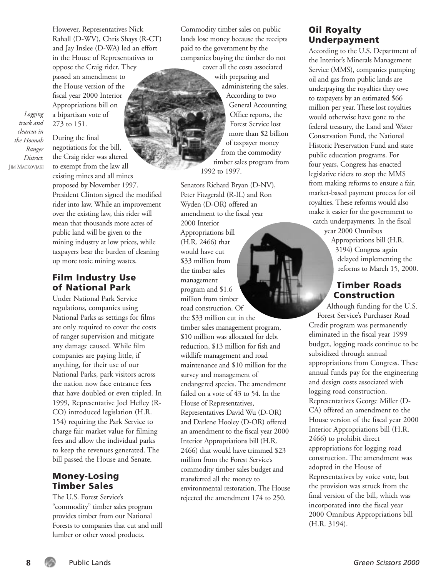However, Representatives Nick Rahall (D-WV), Chris Shays (R-CT) and Jay Inslee (D-WA) led an effort in the House of Representatives to oppose the Craig rider. They passed an amendment to the House version of the fiscal year 2000 Interior Appropriations bill on a bipartisan vote of 273 to 151.

*truck and clearcut in the Hoonah Ranger District.* JIM MACKOVJAKI

*Logging* 

During the final negotiations for the bill, the Craig rider was altered to exempt from the law all existing mines and all mines proposed by November 1997. President Clinton signed the modified rider into law. While an improvement over the existing law, this rider will mean that thousands more acres of public land will be given to the mining industry at low prices, while taxpayers bear the burden of cleaning up more toxic mining wastes.

#### Film Industry Use of National Park

Under National Park Service regulations, companies using National Parks as settings for films are only required to cover the costs of ranger supervision and mitigate any damage caused. While film companies are paying little, if anything, for their use of our National Parks, park visitors across the nation now face entrance fees that have doubled or even tripled. In 1999, Representative Joel Hefley (R-CO) introduced legislation (H.R. 154) requiring the Park Service to charge fair market value for filming fees and allow the individual parks to keep the revenues generated. The bill passed the House and Senate.

#### Money-Losing Timber Sales

The U.S. Forest Service's "commodity" timber sales program provides timber from our National Forests to companies that cut and mill lumber or other wood products.

Commodity timber sales on public lands lose money because the receipts paid to the government by the companies buying the timber do not

cover all the costs associated with preparing and administering the sales. According to two General Accounting Office reports, the Forest Service lost more than \$2 billion of taxpayer money from the commodity timber sales program from 1992 to 1997.

Senators Richard Bryan (D-NV), Peter Fitzgerald (R-IL) and Ron Wyden (D-OR) offered an amendment to the fiscal year 2000 Interior Appropriations bill (H.R. 2466) that would have cut \$33 million from the timber sales management program and \$1.6 million from timber road construction. Of the \$33 million cut in the timber sales management program, \$10 million was allocated for debt reduction, \$13 million for fish and wildlife management and road maintenance and \$10 million for the survey and management of endangered species. The amendment failed on a vote of 43 to 54. In the House of Representatives, Representatives David Wu (D-OR) and Darlene Hooley (D-OR) offered an amendment to the fiscal year 2000 Interior Appropriations bill (H.R. 2466) that would have trimmed \$23 million from the Forest Service's commodity timber sales budget and transferred all the money to environmental restoration. The House rejected the amendment 174 to 250.

#### Oil Royalty Underpayment

According to the U.S. Department of the Interior's Minerals Management Service (MMS), companies pumping oil and gas from public lands are underpaying the royalties they owe to taxpayers by an estimated \$66 million per year. These lost royalties would otherwise have gone to the federal treasury, the Land and Water Conservation Fund, the National Historic Preservation Fund and state public education programs. For four years, Congress has enacted legislative riders to stop the MMS from making reforms to ensure a fair, market-based payment process for oil royalties. These reforms would also make it easier for the government to catch underpayments. In the fiscal

year 2000 Omnibus Appropriations bill (H.R. 3194) Congress again delayed implementing the reforms to March 15, 2000.

#### Timber Roads Construction

Although funding for the U.S. Forest Service's Purchaser Road Credit program was permanently eliminated in the fiscal year 1999 budget, logging roads continue to be subsidized through annual appropriations from Congress. These annual funds pay for the engineering and design costs associated with logging road construction. Representatives George Miller (D-CA) offered an amendment to the House version of the fiscal year 2000 Interior Appropriations bill (H.R. 2466) to prohibit direct appropriations for logging road construction. The amendment was adopted in the House of Representatives by voice vote, but the provision was struck from the final version of the bill, which was incorporated into the fiscal year 2000 Omnibus Appropriations bill (H.R. 3194).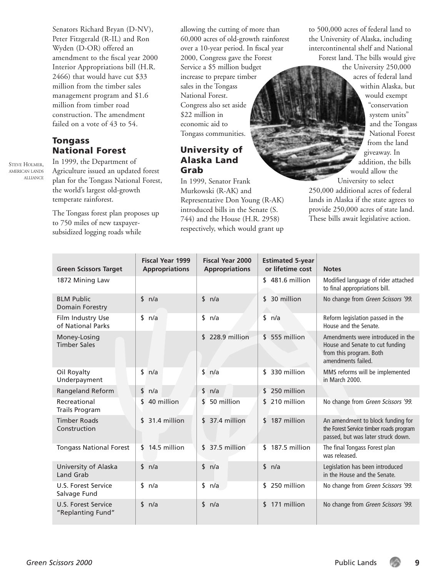Senators Richard Bryan (D-NV), Peter Fitzgerald (R-IL) and Ron Wyden (D-OR) offered an amendment to the fiscal year 2000 Interior Appropriations bill (H.R. 2466) that would have cut \$33 million from the timber sales management program and \$1.6 million from timber road construction. The amendment failed on a vote of 43 to 54.

#### Tongass National Forest

STEVE HOLMER, AMERICAN LANDS ALLIANCE

In 1999, the Department of Agriculture issued an updated forest plan for the Tongass National Forest, the world's largest old-growth temperate rainforest.

The Tongass forest plan proposes up to 750 miles of new taxpayersubsidized logging roads while

allowing the cutting of more than 60,000 acres of old-growth rainforest over a 10-year period. In fiscal year 2000, Congress gave the Forest Service a \$5 million budget increase to prepare timber sales in the Tongass National Forest. Congress also set aside \$22 million in economic aid to Tongass communities.

#### University of Alaska Land Grab

In 1999, Senator Frank Murkowski (R-AK) and Representative Don Young (R-AK) introduced bills in the Senate (S. 744) and the House (H.R. 2958) respectively, which would grant up

to 500,000 acres of federal land to the University of Alaska, including intercontinental shelf and National Forest land. The bills would give

> the University 250,000 acres of federal land within Alaska, but would exempt "conservation system units" and the Tongass National Forest from the land giveaway. In addition, the bills would allow the University to select

250,000 additional acres of federal lands in Alaska if the state agrees to provide 250,000 acres of state land. These bills await legislative action.

| <b>Green Scissors Target</b>             | <b>Fiscal Year 1999</b><br><b>Appropriations</b> | <b>Fiscal Year 2000</b><br><b>Appropriations</b> | <b>Estimated 5-year</b><br>or lifetime cost | <b>Notes</b>                                                                                                          |
|------------------------------------------|--------------------------------------------------|--------------------------------------------------|---------------------------------------------|-----------------------------------------------------------------------------------------------------------------------|
| 1872 Mining Law                          |                                                  |                                                  | $$481.6$ million                            | Modified language of rider attached<br>to final appropriations bill.                                                  |
| <b>BLM Public</b><br>Domain Forestry     | \$ n/a                                           | $\mathsf{\$}$<br>n/a                             | 30 million<br>\$                            | No change from Green Scissors '99.                                                                                    |
| Film Industry Use<br>of National Parks   | sin/a                                            | \$<br>n/a                                        | \$<br>n/a                                   | Reform legislation passed in the<br>House and the Senate.                                                             |
| Money-Losing<br><b>Timber Sales</b>      |                                                  | 228.9 million<br>\$.                             | 555 million<br>\$                           | Amendments were introduced in the<br>House and Senate to cut funding<br>from this program. Both<br>amendments failed. |
| Oil Royalty<br>Underpayment              | \$<br>n/a                                        | $\frac{1}{2}$<br>n/a                             | 330 million<br>\$                           | MMS reforms will be implemented<br>in March 2000.                                                                     |
| Rangeland Reform                         | \$<br>n/a                                        | sin/a                                            | 250 million<br>\$                           |                                                                                                                       |
| Recreational<br><b>Trails Program</b>    | 40 million<br>\$                                 | 50 million<br>\$                                 | 210 million<br>\$                           | No change from Green Scissors '99.                                                                                    |
| <b>Timber Roads</b><br>Construction      | 31.4 million<br>\$                               | $$37.4$ million                                  | 187 million<br>\$                           | An amendment to block funding for<br>the Forest Service timber roads program<br>passed, but was later struck down.    |
| <b>Tongass National Forest</b>           | 14.5 million<br>\$                               | $$37.5$ million                                  | 187.5 million<br>\$                         | The final Tongass Forest plan<br>was released.                                                                        |
| University of Alaska<br><b>Land Grab</b> | sin/a                                            | sin/a                                            | sin/a                                       | Legislation has been introduced<br>in the House and the Senate.                                                       |
| U.S. Forest Service<br>Salvage Fund      | \$<br>n/a                                        | sin/a                                            | 250 million<br>\$                           | No change from Green Scissors '99.                                                                                    |
| U.S. Forest Service<br>"Replanting Fund" | \$ n/a                                           | sin/a                                            | 171 million<br>\$                           | No change from Green Scissors '99.                                                                                    |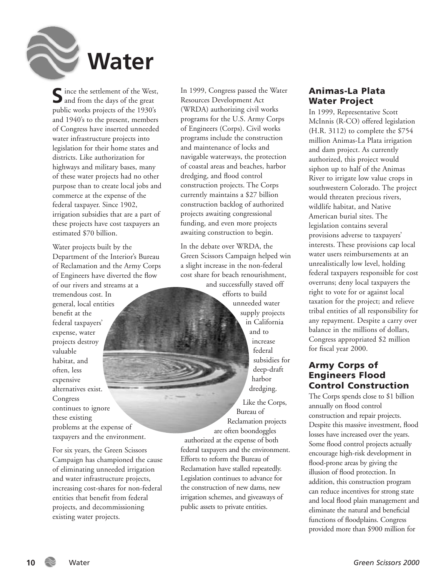

 $\sum$  ince the settlement of the West, public works projects of the 1930's and 1940's to the present, members of Congress have inserted unneeded water infrastructure projects into legislation for their home states and districts. Like authorization for highways and military bases, many of these water projects had no other purpose than to create local jobs and commerce at the expense of the federal taxpayer. Since 1902, irrigation subsidies that are a part of these projects have cost taxpayers an estimated \$70 billion.

Water projects built by the Department of the Interior's Bureau of Reclamation and the Army Corps of Engineers have diverted the flow of our rivers and streams at a tremendous cost. In general, local entities benefit at the federal taxpayers' expense, water projects destroy valuable habitat, and often, less expensive alternatives exist. Congress continues to ignore these existing problems at the expense of taxpayers and the environment.

For six years, the Green Scissors Campaign has championed the cause of eliminating unneeded irrigation and water infrastructure projects, increasing cost-shares for non-federal entities that benefit from federal projects, and decommissioning existing water projects.

In 1999, Congress passed the Water Resources Development Act (WRDA) authorizing civil works programs for the U.S. Army Corps of Engineers (Corps). Civil works programs include the construction and maintenance of locks and navigable waterways, the protection of coastal areas and beaches, harbor dredging, and flood control construction projects. The Corps currently maintains a \$27 billion construction backlog of authorized projects awaiting congressional funding, and even more projects awaiting construction to begin.

In the debate over WRDA, the Green Scissors Campaign helped win a slight increase in the non-federal cost share for beach renourishment, and successfully staved off efforts to build unneeded water supply projects in California and to increase federal subsidies for deep-draft harbor dredging. Like the Corps,

Bureau of Reclamation projects are often boondoggles authorized at the expense of both federal taxpayers and the environment. Efforts to reform the Bureau of Reclamation have stalled repeatedly. Legislation continues to advance for the construction of new dams, new irrigation schemes, and giveaways of public assets to private entities.

#### Animas-La Plata Water Project

In 1999, Representative Scott McInnis (R-CO) offered legislation (H.R. 3112) to complete the \$754 million Animas-La Plata irrigation and dam project. As currently authorized, this project would siphon up to half of the Animas River to irrigate low value crops in southwestern Colorado. The project would threaten precious rivers, wildlife habitat, and Native American burial sites. The legislation contains several provisions adverse to taxpayers' interests. These provisions cap local water users reimbursements at an unrealistically low level, holding federal taxpayers responsible for cost overruns; deny local taxpayers the right to vote for or against local taxation for the project; and relieve tribal entities of all responsibility for any repayment. Despite a carry over balance in the millions of dollars, Congress appropriated \$2 million for fiscal year 2000.

#### Army Corps of Engineers Flood Control Construction

The Corps spends close to \$1 billion annually on flood control construction and repair projects. Despite this massive investment, flood losses have increased over the years. Some flood control projects actually encourage high-risk development in flood-prone areas by giving the illusion of flood protection. In addition, this construction program can reduce incentives for strong state and local flood plain management and eliminate the natural and beneficial functions of floodplains. Congress provided more than \$900 million for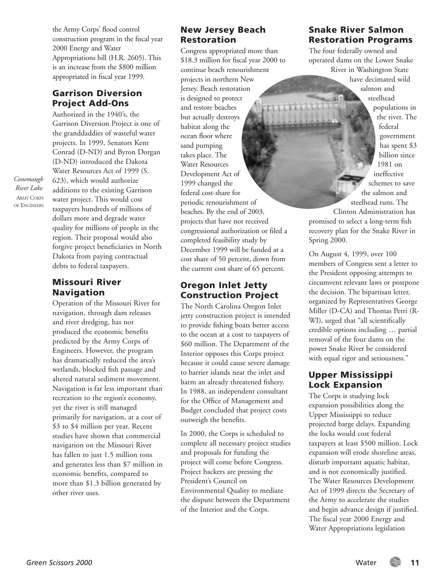the Army Corps' flood control construction program in the fiscal year 2000 Energy and Water Appropriations bill (H.R. 2605). This is an increase from the \$800 million appropriated in fiscal year 1999.

#### Garrison Diversion Project Add-Ons

Authorized in the 1940's, the Garrison Diversion Project is one of the granddaddies of wasteful water projects. In 1999, Senators Kent Conrad (D-ND) and Byron Dorgan (D-ND) introduced the Dakota Water Resources Act of 1999 (S. 623), which would authorize additions to the existing Garrison water project. This would cost taxpayers hundreds of millions of dollars more and degrade water quality for millions of people in the region. Their proposal would also forgive project beneficiaries in North Dakota from paying contractual debts to federal taxpayers.

#### Missouri River Navigation

Operation of the Missouri River for navigation, through dam releases and river dredging, has not produced the economic benefits predicted by the Army Corps of Engineers. However, the program has dramatically reduced the area's wetlands, blocked fish passage and altered natural sediment movement. Navigation is far less important than recreation to the region's economy, yet the river is still managed primarily for navigation, at a cost of \$3 to \$4 million per year. Recent studies have shown that commercial navigation on the Missouri River has fallen to just 1.5 million tons and generates less than \$7 million in economic benefits, compared to more than \$1.3 billion generated by other river uses.

#### New Jersey Beach Restoration

Congress appropriated more than \$18.3 million for fiscal year 2000 to continue beach renourishment projects in northern New Jersey. Beach restoration is designed to protect and restore beaches but actually destroys habitat along the ocean floor where sand pumping takes place. The Water Resources Development Act of 1999 changed the federal cost-share for periodic renourishment of beaches. By the end of 2003, projects that have not received congressional authorization or filed a completed feasibility study by December 1999 will be funded at a cost share of 50 percent, down from the current cost share of 65 percent.

#### Oregon Inlet Jetty Construction Project

The North Carolina Oregon Inlet jetty construction project is intended to provide fishing boats better access to the ocean at a cost to taxpayers of \$60 million. The Department of the Interior opposes this Corps project because it could cause severe damage to barrier islands near the inlet and harm an already threatened fishery. In 1988, an independent consultant for the Office of Management and Budget concluded that project costs outweigh the benefits.

In 2000, the Corps is scheduled to complete all necessary project studies and proposals for funding the project will come before Congress. Project backers are pressing the President's Council on Environmental Quality to mediate the dispute between the Department of the Interior and the Corps.

#### Snake River Salmon Restoration Programs

The four federally owned and operated dams on the Lower Snake River in Washington State have decimated wild salmon and

> steelhead populations in the river. The federal government has spent \$3 billion since 1981 on ineffective schemes to save the salmon and steelhead runs. The

Clinton Administration has promised to select a long-term fish recovery plan for the Snake River in Spring 2000.

On August 4, 1999, over 100 members of Congress sent a letter to the President opposing attempts to circumvent relevant laws or postpone the decision. The bipartisan letter, organized by Representatives George Miller (D-CA) and Thomas Petri (R-WI), urged that "all scientifically credible options including … partial removal of the four dams on the power Snake River be considered with equal rigor and seriousness."

#### Upper Mississippi Lock Expansion

The Corps is studying lock expansion possibilities along the Upper Mississippi to reduce projected barge delays. Expanding the locks would cost federal taxpayers at least \$500 million. Lock expansion will erode shoreline areas, disturb important aquatic habitat, and is not economically justified. The Water Resources Development Act of 1999 directs the Secretary of the Army to accelerate the studies and begin advance design if justified. The fiscal year 2000 Energy and Water Appropriations legislation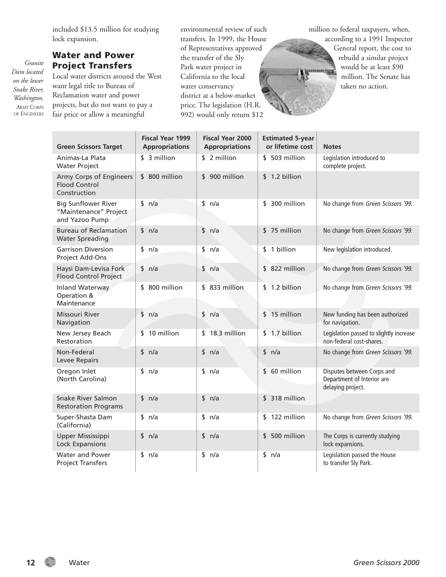included \$13.5 million for studying lock expansion.

#### Water and Power Project Transfers

Local water districts around the West want legal title to Bureau of Reclamation water and power projects, but do not want to pay a fair price or allow a meaningful

environmental review of such transfers. In 1999, the House of Representatives approved the transfer of the Sly Park water project in California to the local water conservancy district at a below-market price. The legislation (H.R. 992) would only return \$12

million to federal taxpayers, when, according to a 1991 Inspector

**Summaring** 

General report, the cost to rebuild a similar project would be at least \$90 million. The Senate has taken no action.

| <b>Green Scissors Target</b>                                          | <b>Fiscal Year 1999</b><br><b>Appropriations</b> | <b>Fiscal Year 2000</b><br><b>Appropriations</b> | <b>Estimated 5-year</b><br>or lifetime cost | <b>Notes</b>                                                                  |
|-----------------------------------------------------------------------|--------------------------------------------------|--------------------------------------------------|---------------------------------------------|-------------------------------------------------------------------------------|
| Animas-La Plata<br><b>Water Project</b>                               | \$ 3 million                                     | \$ 2 million                                     | \$503 million                               | Legislation introduced to<br>complete project.                                |
| Army Corps of Engineers<br><b>Flood Control</b><br>Construction       | \$800 million                                    | \$900 million                                    | \$1.2 billion                               |                                                                               |
| <b>Big Sunflower River</b><br>"Maintenance" Project<br>and Yazoo Pump | sin/a                                            | \$ n/a                                           | \$ 300 million                              | No change from Green Scissors '99.                                            |
| <b>Bureau of Reclamation</b><br><b>Water Spreading</b>                | \$ n/a                                           | sin/a                                            | \$75 million                                | No change from Green Scissors '99.                                            |
| <b>Garrison Diversion</b><br>Project Add-Ons                          | sin/a                                            | \$ n/a                                           | \$ 1 billion                                | New legislation introduced.                                                   |
| Haysi Dam-Levisa Fork<br>Flood Control Project                        | \$ n/a                                           | \$ n/a                                           | \$822 million                               | No change from Green Scissors '99.                                            |
| Inland Waterway<br>Operation &<br>Maintenance                         | \$800 million                                    | $$833$ million                                   | \$1.2 billion                               | No change from Green Scissors '99.                                            |
| Missouri River<br>Navigation                                          | \$ n/a                                           | \$ n/a                                           | $$15$ million                               | New funding has been authorized<br>for navigation.                            |
| New Jersey Beach<br>Restoration                                       | 10 million<br>\$                                 | $$18.3$ million                                  | \$1.7 billion                               | Legislation passed to slightly increase<br>non-federal cost-shares.           |
| Non-Federal<br>Levee Repairs                                          | \$ n/a                                           | \$ n/a                                           | \$ n/a                                      | No change from Green Scissors '99.                                            |
| Oregon Inlet<br>(North Carolina)                                      | \$ n/a                                           | \$ n/a                                           | \$ 60 million                               | Disputes between Corps and<br>Department of Interior are<br>delaying project. |
| <b>Snake River Salmon</b><br><b>Restoration Programs</b>              | \$ n/a                                           | \$ n/a                                           | \$ 318 million                              |                                                                               |
| Super-Shasta Dam<br>(California)                                      | sin/a                                            | sin/a                                            | \$122 million                               | No change from Green Scissors '99.                                            |
| Upper Mississippi<br>Lock Expansions                                  | \$ n/a                                           | \$ n/a                                           | \$500 million                               | The Corps is currently studying<br>lock expansions.                           |
| Water and Power<br><b>Project Transfers</b>                           | \$ n/a                                           | \$ n/a                                           | \$ n/a                                      | Legislation passed the House<br>to transfer Sly Park.                         |

*Granite Dam located on the lower Snake River, Washington.*  ARMY CORPS OF ENGINEERS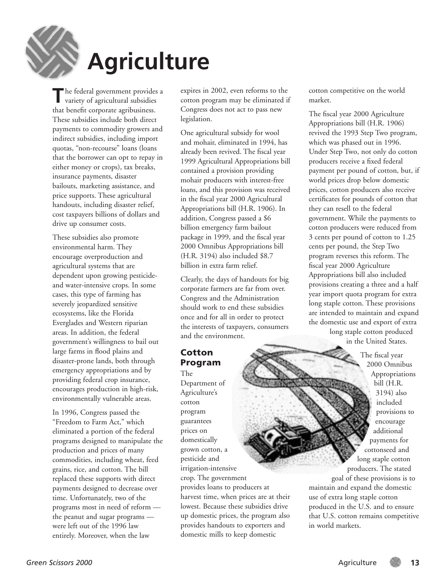

# **Agriculture**

**T**he federal government provides a variety of agricultural subsidies that benefit corporate agribusiness. These subsidies include both direct payments to commodity growers and indirect subsidies, including import quotas, "non-recourse" loans (loans that the borrower can opt to repay in either money or crops), tax breaks, insurance payments, disaster bailouts, marketing assistance, and price supports. These agricultural handouts, including disaster relief, cost taxpayers billions of dollars and drive up consumer costs.

These subsidies also promote environmental harm. They encourage overproduction and agricultural systems that are dependent upon growing pesticideand water-intensive crops. In some cases, this type of farming has severely jeopardized sensitive ecosystems, like the Florida Everglades and Western riparian areas. In addition, the federal government's willingness to bail out large farms in flood plains and disaster-prone lands, both through emergency appropriations and by providing federal crop insurance, encourages production in high-risk, environmentally vulnerable areas.

In 1996, Congress passed the "Freedom to Farm Act," which eliminated a portion of the federal programs designed to manipulate the production and prices of many commodities, including wheat, feed grains, rice, and cotton. The bill replaced these supports with direct payments designed to decrease over time. Unfortunately, two of the programs most in need of reform the peanut and sugar programs were left out of the 1996 law entirely. Moreover, when the law

expires in 2002, even reforms to the cotton program may be eliminated if Congress does not act to pass new legislation.

One agricultural subsidy for wool and mohair, eliminated in 1994, has already been revived. The fiscal year 1999 Agricultural Appropriations bill contained a provision providing mohair producers with interest-free loans, and this provision was received in the fiscal year 2000 Agricultural Appropriations bill (H.R. 1906). In addition, Congress passed a \$6 billion emergency farm bailout package in 1999, and the fiscal year 2000 Omnibus Appropriations bill (H.R. 3194) also included \$8.7 billion in extra farm relief.

Clearly, the days of handouts for big corporate farmers are far from over. Congress and the Administration should work to end these subsidies once and for all in order to protect the interests of taxpayers, consumers and the environment.

#### Cotton Program

The Department of Agriculture's cotton program guarantees prices on domestically grown cotton, a pesticide and irrigation-intensive crop. The government provides loans to producers at harvest time, when prices are at their lowest. Because these subsidies drive up domestic prices, the program also provides handouts to exporters and domestic mills to keep domestic

cotton competitive on the world market.

The fiscal year 2000 Agriculture Appropriations bill (H.R. 1906) revived the 1993 Step Two program, which was phased out in 1996. Under Step Two, not only do cotton producers receive a fixed federal payment per pound of cotton, but, if world prices drop below domestic prices, cotton producers also receive certificates for pounds of cotton that they can resell to the federal government. While the payments to cotton producers were reduced from 3 cents per pound of cotton to 1.25 cents per pound, the Step Two program reverses this reform. The fiscal year 2000 Agriculture Appropriations bill also included provisions creating a three and a half year import quota program for extra long staple cotton. These provisions are intended to maintain and expand the domestic use and export of extra

long staple cotton produced in the United States.

The fiscal year 2000 Omnibus Appropriations bill (H.R. 3194) also included provisions to encourage additional payments for cottonseed and long staple cotton producers. The stated goal of these provisions is to maintain and expand the domestic use of extra long staple cotton produced in the U.S. and to ensure that U.S. cotton remains competitive in world markets.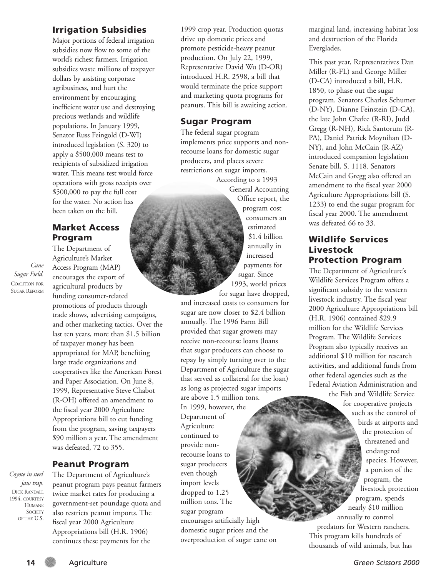#### Irrigation Subsidies

Major portions of federal irrigation subsidies now flow to some of the world's richest farmers. Irrigation subsidies waste millions of taxpayer dollars by assisting corporate agribusiness, and hurt the environment by encouraging inefficient water use and destroying precious wetlands and wildlife populations. In January 1999, Senator Russ Feingold (D-WI) introduced legislation (S. 320) to apply a \$500,000 means test to recipients of subsidized irrigation water. This means test would force operations with gross receipts over \$500,000 to pay the full cost for the water. No action has been taken on the bill.

#### Market Access Program

*Cane Sugar Field.* COALITION FOR SUGAR REFORM

The Department of Agriculture's Market Access Program (MAP) encourages the export of agricultural products by funding consumer-related promotions of products through trade shows, advertising campaigns, and other marketing tactics. Over the last ten years, more than \$1.5 billion of taxpayer money has been appropriated for MAP, benefiting large trade organizations and cooperatives like the American Forest and Paper Association. On June 8, 1999, Representative Steve Chabot (R-OH) offered an amendment to the fiscal year 2000 Agriculture Appropriations bill to cut funding from the program, saving taxpayers \$90 million a year. The amendment was defeated, 72 to 355.

#### Peanut Program

*Coyote in steel jaw trap.* DICK RANDALL 1994, COURTESY **HUMANE SOCIETY** OF THE U.S.

The Department of Agriculture's peanut program pays peanut farmers twice market rates for producing a government-set poundage quota and also restricts peanut imports. The fiscal year 2000 Agriculture Appropriations bill (H.R. 1906) continues these payments for the

1999 crop year. Production quotas drive up domestic prices and promote pesticide-heavy peanut production. On July 22, 1999, Representative David Wu (D-OR) introduced H.R. 2598, a bill that would terminate the price support and marketing quota programs for peanuts. This bill is awaiting action.

#### Sugar Program

The federal sugar program implements price supports and nonrecourse loans for domestic sugar producers, and places severe restrictions on sugar imports.

According to a 1993 General Accounting Office report, the program cost consumers an estimated \$1.4 billion annually in increased payments for sugar. Since 1993, world prices for sugar have dropped,

and increased costs to consumers for sugar are now closer to \$2.4 billion annually. The 1996 Farm Bill provided that sugar growers may receive non-recourse loans (loans that sugar producers can choose to repay by simply turning over to the Department of Agriculture the sugar that served as collateral for the loan) as long as projected sugar imports are above 1.5 million tons. In 1999, however, the Department of Agriculture continued to provide nonrecourse loans to sugar producers even though import levels dropped to 1.25 million tons. The sugar program encourages artificially high domestic sugar prices and the overproduction of sugar cane on

marginal land, increasing habitat loss and destruction of the Florida Everglades.

This past year, Representatives Dan Miller (R-FL) and George Miller (D-CA) introduced a bill, H.R. 1850, to phase out the sugar program. Senators Charles Schumer (D-NY), Dianne Feinstein (D-CA), the late John Chafee (R-RI), Judd Gregg (R-NH), Rick Santorum (R-PA), Daniel Patrick Moynihan (D-NY), and John McCain (R-AZ) introduced companion legislation Senate bill, S. 1118. Senators McCain and Gregg also offered an amendment to the fiscal year 2000 Agriculture Appropriations bill (S. 1233) to end the sugar program for fiscal year 2000. The amendment was defeated 66 to 33.

#### Wildlife Services Livestock Protection Program

The Department of Agriculture's Wildlife Services Program offers a significant subsidy to the western livestock industry. The fiscal year 2000 Agriculture Appropriations bill (H.R. 1906) contained \$29.9 million for the Wildlife Services Program. The Wildlife Services Program also typically receives an additional \$10 million for research activities, and additional funds from other federal agencies such as the Federal Aviation Administration and the Fish and Wildlife Service

for cooperative projects such as the control of birds at airports and the protection of threatened and endangered species. However, a portion of the program, the livestock protection program, spends nearly \$10 million annually to control predators for Western ranchers. This program kills hundreds of thousands of wild animals, but has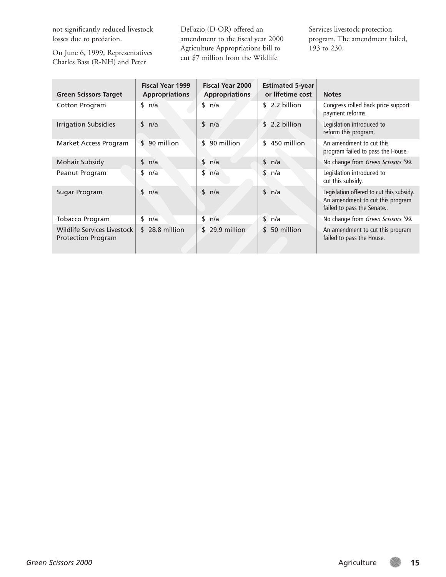not significantly reduced livestock losses due to predation.

On June 6, 1999, Representatives Charles Bass (R-NH) and Peter

DeFazio (D-OR) offered an amendment to the fiscal year 2000 Agriculture Appropriations bill to cut \$7 million from the Wildlife

Services livestock protection program. The amendment failed, 193 to 230.

| <b>Green Scissors Target</b>                             | <b>Fiscal Year 1999</b><br><b>Appropriations</b> | <b>Fiscal Year 2000</b><br><b>Appropriations</b> | <b>Estimated 5-year</b><br>or lifetime cost | <b>Notes</b>                                                                                              |
|----------------------------------------------------------|--------------------------------------------------|--------------------------------------------------|---------------------------------------------|-----------------------------------------------------------------------------------------------------------|
| Cotton Program                                           | sin/a                                            | sin/a                                            | \$2.2 billion                               | Congress rolled back price support<br>payment reforms.                                                    |
| <b>Irrigation Subsidies</b>                              | sin/a                                            | \$ n/a                                           | 2.2 billion<br>\$                           | Legislation introduced to<br>reform this program.                                                         |
| Market Access Program                                    | \$90 million                                     | 90 million<br>\$                                 | \$<br>450 million                           | An amendment to cut this<br>program failed to pass the House.                                             |
| Mohair Subsidy                                           | \$ n/a                                           | \$<br>n/a                                        | sin/a                                       | No change from Green Scissors '99.                                                                        |
| Peanut Program                                           | \$<br>n/a                                        | \$<br>n/a                                        | \$<br>n/a                                   | Legislation introduced to<br>cut this subsidy.                                                            |
| Sugar Program                                            | \$<br>n/a                                        | \$<br>n/a                                        | sin/a                                       | Legislation offered to cut this subsidy.<br>An amendment to cut this program<br>failed to pass the Senate |
| <b>Tobacco Program</b>                                   | sin/a                                            | sin/a                                            | $\frac{1}{2}$ n/a                           | No change from Green Scissors '99.                                                                        |
| Wildlife Services Livestock<br><b>Protection Program</b> | $$28.8$ million                                  | $$29.9$ million                                  | 50 million<br>\$                            | An amendment to cut this program<br>failed to pass the House.                                             |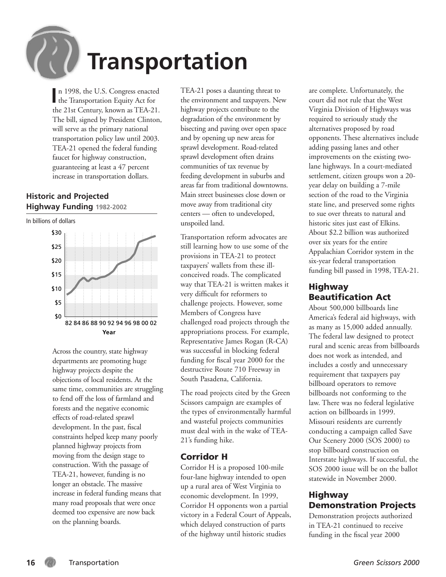

In 1998, the U.S. Congress enacter<br>the Transportation Equity Act for n 1998, the U.S. Congress enacted the 21st Century, known as TEA-21. The bill, signed by President Clinton, will serve as the primary national transportation policy law until 2003. TEA-21 opened the federal funding faucet for highway construction, guaranteeing at least a 47 percent increase in transportation dollars.

#### **Historic and Projected Highway Funding 1982-2002**



Across the country, state highway departments are promoting huge highway projects despite the objections of local residents. At the same time, communities are struggling to fend off the loss of farmland and forests and the negative economic effects of road-related sprawl development. In the past, fiscal constraints helped keep many poorly planned highway projects from moving from the design stage to construction. With the passage of TEA-21, however, funding is no longer an obstacle. The massive increase in federal funding means that many road proposals that were once deemed too expensive are now back on the planning boards.

TEA-21 poses a daunting threat to the environment and taxpayers. New highway projects contribute to the degradation of the environment by bisecting and paving over open space and by opening up new areas for sprawl development. Road-related sprawl development often drains communities of tax revenue by feeding development in suburbs and areas far from traditional downtowns. Main street businesses close down or move away from traditional city centers — often to undeveloped, unspoiled land.

Transportation reform advocates are still learning how to use some of the provisions in TEA-21 to protect taxpayers' wallets from these illconceived roads. The complicated way that TEA-21 is written makes it very difficult for reformers to challenge projects. However, some Members of Congress have challenged road projects through the appropriations process. For example, Representative James Rogan (R-CA) was successful in blocking federal funding for fiscal year 2000 for the destructive Route 710 Freeway in South Pasadena, California.

The road projects cited by the Green Scissors campaign are examples of the types of environmentally harmful and wasteful projects communities must deal with in the wake of TEA-21's funding hike.

#### Corridor H

Corridor H is a proposed 100-mile four-lane highway intended to open up a rural area of West Virginia to economic development. In 1999, Corridor H opponents won a partial victory in a Federal Court of Appeals, which delayed construction of parts of the highway until historic studies

are complete. Unfortunately, the court did not rule that the West Virginia Division of Highways was required to seriously study the alternatives proposed by road opponents. These alternatives include adding passing lanes and other improvements on the existing twolane highways. In a court-mediated settlement, citizen groups won a 20 year delay on building a 7-mile section of the road to the Virginia state line, and preserved some rights to sue over threats to natural and historic sites just east of Elkins. About \$2.2 billion was authorized over six years for the entire Appalachian Corridor system in the six-year federal transportation funding bill passed in 1998, TEA-21.

#### Highway Beautification Act

About 500,000 billboards line America's federal aid highways, with as many as 15,000 added annually. The federal law designed to protect rural and scenic areas from billboards does not work as intended, and includes a costly and unnecessary requirement that taxpayers pay billboard operators to remove billboards not conforming to the law. There was no federal legislative action on billboards in 1999. Missouri residents are currently conducting a campaign called Save Our Scenery 2000 (SOS 2000) to stop billboard construction on Interstate highways. If successful, the SOS 2000 issue will be on the ballot statewide in November 2000.

#### Highway Demonstration Projects

Demonstration projects authorized in TEA-21 continued to receive funding in the fiscal year 2000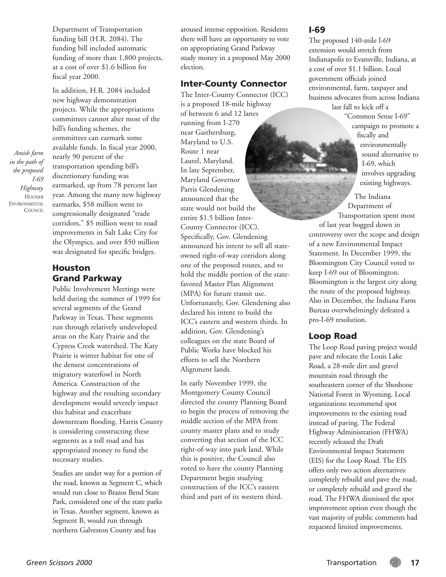Department of Transportation funding bill (H.R. 2084). The funding bill included automatic funding of more than 1,800 projects, at a cost of over \$1.6 billion for fiscal year 2000.

In addition, H.R. 2084 included new highway demonstration projects. While the appropriations committees cannot alter most of the bill's funding schemes, the committees can earmark some available funds. In fiscal year 2000, nearly 90 percent of the transportation spending bill's discretionary funding was earmarked, up from 78 percent last year. Among the many new highway earmarks, \$58 million went to congressionally designated "trade corridors," \$5 million went to road improvements in Salt Lake City for the Olympics, and over \$50 million was designated for specific bridges.

#### Houston Grand Parkway

Public Involvement Meetings were held during the summer of 1999 for several segments of the Grand Parkway in Texas. These segments run through relatively undeveloped areas on the Katy Prairie and the Cypress Creek watershed. The Katy Prairie is winter habitat for one of the densest concentrations of migratory waterfowl in North America. Construction of the highway and the resulting secondary development would severely impact this habitat and exacerbate downstream flooding. Harris County is considering constructing these segments as a toll road and has appropriated money to fund the necessary studies.

Studies are under way for a portion of the road, known as Segment C, which would run close to Brazos Bend State Park, considered one of the state parks in Texas. Another segment, known as Segment B, would run through northern Galveston County and has

aroused intense opposition. Residents there will have an opportunity to vote on appropriating Grand Parkway study money in a proposed May 2000 election.

#### Inter-County Connector

The Inter-County Connector (ICC) is a proposed 18-mile highway of between 6 and 12 lanes running from I-270 near Gaithersburg, Maryland to U.S. Route 1 near Laurel, Maryland. In late September, Maryland Governor Parris Glendening announced that the state would not build the entire \$1.5 billion Inter-County Connector (ICC). Specifically, Gov. Glendening announced his intent to sell all stateowned right-of-way corridors along one of the proposed routes, and to hold the middle portion of the statefavored Master Plan Alignment (MPA) for future transit use. Unfortunately, Gov. Glendening also declared his intent to build the ICC's eastern and western thirds. In addition, Gov. Glendening's colleagues on the state Board of Public Works have blocked his efforts to sell the Northern Alignment lands.

In early November 1999, the Montgomery County Council directed the county Planning Board to begin the process of removing the middle section of the MPA from county master plans and to study converting that section of the ICC right-of-way into park land. While this is positive, the Council also voted to have the county Planning Department begin studying construction of the ICC's eastern third and part of its western third.

#### I-69

The proposed 140-mile I-69 extension would stretch from Indianapolis to Evansville, Indiana, at a cost of over \$1.1 billion. Local government officials joined environmental, farm, taxpayer and business advocates from across Indiana last fall to kick off a

"Common Sense I-69" campaign to promote a fiscally and environmentally sound alternative to I-69, which involves upgrading existing highways.

The Indiana Department of Transportation spent most

of last year bogged down in controversy over the scope and design of a new Environmental Impact Statement. In December 1999, the Bloomington City Council voted to keep I-69 out of Bloomington. Bloomington is the largest city along the route of the proposed highway. Also in December, the Indiana Farm Bureau overwhelmingly defeated a pro-I-69 resolution.

#### Loop Road

The Loop Road paving project would pave and relocate the Louis Lake Road, a 28-mile dirt and gravel mountain road through the southeastern corner of the Shoshone National Forest in Wyoming. Local organizations recommend spot improvements to the existing road instead of paving. The Federal Highway Administration (FHWA) recently released the Draft Environmental Impact Statement (EIS) for the Loop Road. The EIS offers only two action alternatives: completely rebuild and pave the road, or completely rebuild and gravel the road. The FHWA dismissed the spot improvement option even though the vast majority of public comments had requested limited improvements.

*Amish farm in the path of the proposed I-69*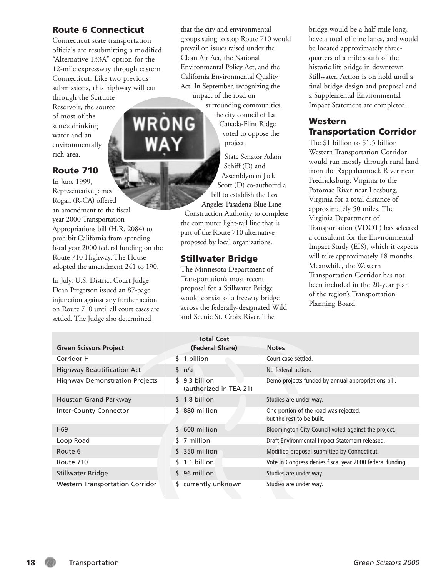#### Route 6 Connecticut

Connecticut state transportation officials are resubmitting a modified "Alternative 133A" option for the 12-mile expressway through eastern Connecticut. Like two previous submissions, this highway will cut through the Scituate Reservoir, the source of most of the state's drinking water and an environmentally rich area.

#### Route 710

In June 1999, Representative James Rogan (R-CA) offered an amendment to the fiscal year 2000 Transportation Appropriations bill (H.R. 2084) to prohibit California from spending fiscal year 2000 federal funding on the Route 710 Highway. The House adopted the amendment 241 to 190.

In July, U.S. District Court Judge Dean Pregerson issued an 87-page injunction against any further action on Route 710 until all court cases are settled. The Judge also determined

that the city and environmental groups suing to stop Route 710 would prevail on issues raised under the Clean Air Act, the National Environmental Policy Act, and the California Environmental Quality Act. In September, recognizing the impact of the road on

surrounding communities, the city council of La Cañada-Flint Ridge voted to oppose the project.

> State Senator Adam Schiff (D) and Assemblyman Jack Scott (D) co-authored a

bill to establish the Los Angeles-Pasadena Blue Line

Construction Authority to complete the commuter light-rail line that is part of the Route 710 alternative proposed by local organizations.

#### Stillwater Bridge

The Minnesota Department of Transportation's most recent proposal for a Stillwater Bridge would consist of a freeway bridge across the federally-designated Wild and Scenic St. Croix River. The

bridge would be a half-mile long, have a total of nine lanes, and would be located approximately threequarters of a mile south of the historic lift bridge in downtown Stillwater. Action is on hold until a final bridge design and proposal and a Supplemental Environmental Impact Statement are completed.

#### Western Transportation Corridor

The \$1 billion to \$1.5 billion Western Transportation Corridor would run mostly through rural land from the Rappahannock River near Fredricksburg, Virginia to the Potomac River near Leesburg, Virginia for a total distance of approximately 50 miles. The Virginia Department of Transportation (VDOT) has selected a consultant for the Environmental Impact Study (EIS), which it expects will take approximately 18 months. Meanwhile, the Western Transportation Corridor has not been included in the 20-year plan of the region's Transportation Planning Board.

| <b>Green Scissors Project</b>          | <b>Total Cost</b><br>(Federal Share)    | <b>Notes</b>                                                       |
|----------------------------------------|-----------------------------------------|--------------------------------------------------------------------|
| Corridor H                             | \$ 1 billion                            | Court case settled.                                                |
| <b>Highway Beautification Act</b>      | sin/a                                   | No federal action.                                                 |
| <b>Highway Demonstration Projects</b>  | \$9.3 billion<br>(authorized in TEA-21) | Demo projects funded by annual appropriations bill.                |
| Houston Grand Parkway                  | \$ 1.8 billion                          | Studies are under way.                                             |
| Inter-County Connector                 | $$880$ million                          | One portion of the road was rejected,<br>but the rest to be built. |
| $1-69$                                 | 600 million<br>\$                       | Bloomington City Council voted against the project.                |
| Loop Road                              | \$ 7 million                            | Draft Environmental Impact Statement released.                     |
| Route 6                                | \$ 350 million                          | Modified proposal submitted by Connecticut.                        |
| Route 710                              | \$1.1 billion                           | Vote in Congress denies fiscal year 2000 federal funding.          |
| Stillwater Bridge                      | \$96 million                            | Studies are under way.                                             |
| <b>Western Transportation Corridor</b> | \$ currently unknown                    | Studies are under way.                                             |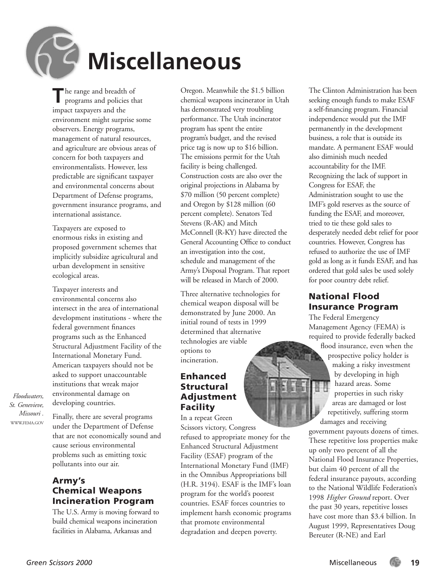

**T**he range and breadth of programs and policies that impact taxpayers and the environment might surprise some observers. Energy programs, management of natural resources, and agriculture are obvious areas of concern for both taxpayers and environmentalists. However, less predictable are significant taxpayer and environmental concerns about Department of Defense programs, government insurance programs, and international assistance.

Taxpayers are exposed to enormous risks in existing and proposed government schemes that implicitly subsidize agricultural and urban development in sensitive ecological areas.

Taxpayer interests and environmental concerns also intersect in the area of international development institutions - where the federal government finances programs such as the Enhanced Structural Adjustment Facility of the International Monetary Fund. American taxpayers should not be asked to support unaccountable institutions that wreak major environmental damage on developing countries.

*Floodwaters, St. Genevieve, Missouri .* WWW.FEMA.GOV

Finally, there are several programs under the Department of Defense that are not economically sound and cause serious environmental problems such as emitting toxic pollutants into our air.

#### Army's Chemical Weapons Incineration Program

The U.S. Army is moving forward to build chemical weapons incineration facilities in Alabama, Arkansas and

Oregon. Meanwhile the \$1.5 billion chemical weapons incinerator in Utah has demonstrated very troubling performance. The Utah incinerator program has spent the entire program's budget, and the revised price tag is now up to \$16 billion. The emissions permit for the Utah facility is being challenged. Construction costs are also over the original projections in Alabama by \$70 million (50 percent complete) and Oregon by \$128 million (60 percent complete). Senators Ted Stevens (R-AK) and Mitch McConnell (R-KY) have directed the General Accounting Office to conduct an investigation into the cost, schedule and management of the Army's Disposal Program. That report will be released in March of 2000.

Three alternative technologies for chemical weapon disposal will be demonstrated by June 2000. An initial round of tests in 1999 determined that alternative technologies are viable options to incineration.

#### Enhanced **Structural** Adjustment Facility

In a repeat Green

Scissors victory, Congress refused to appropriate money for the Enhanced Structural Adjustment Facility (ESAF) program of the International Monetary Fund (IMF) in the Omnibus Appropriations bill (H.R. 3194). ESAF is the IMF's loan program for the world's poorest countries. ESAF forces countries to implement harsh economic programs that promote environmental degradation and deepen poverty.

The Clinton Administration has been seeking enough funds to make ESAF a self-financing program. Financial independence would put the IMF permanently in the development business, a role that is outside its mandate. A permanent ESAF would also diminish much needed accountability for the IMF. Recognizing the lack of support in Congress for ESAF, the Administration sought to use the IMF's gold reserves as the source of funding the ESAF, and moreover, tried to tie these gold sales to desperately needed debt relief for poor countries. However, Congress has refused to authorize the use of IMF gold as long as it funds ESAF, and has ordered that gold sales be used solely for poor country debt relief.

#### National Flood Insurance Program

The Federal Emergency Management Agency (FEMA) is required to provide federally backed flood insurance, even when the prospective policy holder is making a risky investment by developing in high hazard areas. Some properties in such risky areas are damaged or lost repetitively, suffering storm damages and receiving

government payouts dozens of times. These repetitive loss properties make up only two percent of all the National Flood Insurance Properties, but claim 40 percent of all the federal insurance payouts, according to the National Wildlife Federation's 1998 *Higher Ground* report. Over the past 30 years, repetitive losses have cost more than \$3.4 billion. In August 1999, Representatives Doug Bereuter (R-NE) and Earl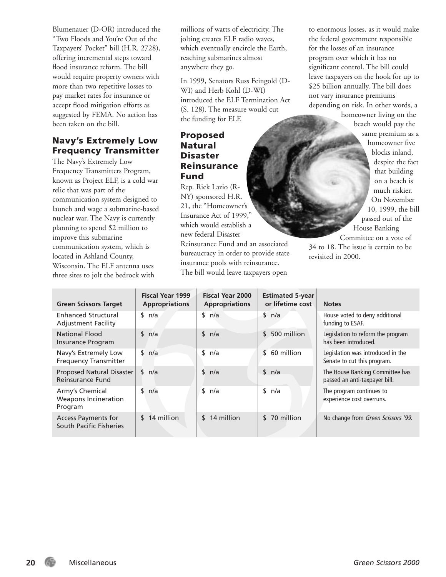Blumenauer (D-OR) introduced the "Two Floods and You're Out of the Taxpayers' Pocket" bill (H.R. 2728), offering incremental steps toward flood insurance reform. The bill would require property owners with more than two repetitive losses to pay market rates for insurance or accept flood mitigation efforts as suggested by FEMA. No action has been taken on the bill.

#### Navy's Extremely Low Frequency Transmitter

The Navy's Extremely Low Frequency Transmitters Program, known as Project ELF, is a cold war relic that was part of the communication system designed to launch and wage a submarine-based nuclear war. The Navy is currently planning to spend \$2 million to improve this submarine communication system, which is located in Ashland County, Wisconsin. The ELF antenna uses three sites to jolt the bedrock with

millions of watts of electricity. The jolting creates ELF radio waves, which eventually encircle the Earth, reaching submarines almost anywhere they go.

In 1999, Senators Russ Feingold (D-WI) and Herb Kohl (D-WI) introduced the ELF Termination Act (S. 128). The measure would cut the funding for ELF.

#### Proposed Natural Disaster Reinsurance Fund

Rep. Rick Lazio (R-NY) sponsored H.R. 21, the "Homeowner's Insurance Act of 1999," which would establish a new federal Disaster

Reinsurance Fund and an associated bureaucracy in order to provide state insurance pools with reinsurance. The bill would leave taxpayers open

to enormous losses, as it would make the federal government responsible for the losses of an insurance program over which it has no significant control. The bill could leave taxpayers on the hook for up to \$25 billion annually. The bill does not vary insurance premiums depending on risk. In other words, a

> homeowner living on the beach would pay the same premium as a homeowner five blocks inland,

despite the fact that building on a beach is much riskier. On November 10, 1999, the bill passed out of the House Banking Committee on a vote of

34 to 18. The issue is certain to be revisited in 2000.

| <b>Green Scissors Target</b>                              | <b>Fiscal Year 1999</b><br><b>Appropriations</b> | <b>Fiscal Year 2000</b><br><b>Appropriations</b> | <b>Estimated 5-year</b><br>or lifetime cost | <b>Notes</b>                                                     |
|-----------------------------------------------------------|--------------------------------------------------|--------------------------------------------------|---------------------------------------------|------------------------------------------------------------------|
| <b>Enhanced Structural</b><br><b>Adjustment Facility</b>  | sin/a                                            | \$<br>n/a                                        | \$ n/a                                      | House voted to deny additional<br>funding to ESAF.               |
| <b>National Flood</b><br>Insurance Program                | sin/a                                            | sin/a                                            | \$<br>500 million                           | Legislation to reform the program<br>has been introduced.        |
| Navy's Extremely Low<br><b>Frequency Transmitter</b>      | sin/a                                            | \$<br>n/a                                        | 60 million<br>\$                            | Legislation was introduced in the<br>Senate to cut this program. |
| Proposed Natural Disaster<br>Reinsurance Fund             | \$<br>n/a                                        | \$<br>n/a                                        | \$ n/a                                      | The House Banking Committee has<br>passed an anti-taxpayer bill. |
| Army's Chemical<br><b>Weapons Incineration</b><br>Program | \$<br>n/a                                        | \$<br>n/a                                        | \$<br>n/a                                   | The program continues to<br>experience cost overruns.            |
| Access Payments for<br>South Pacific Fisheries            | \$14 million                                     | $$14$ million                                    | \$70 million                                | No change from Green Scissors '99.                               |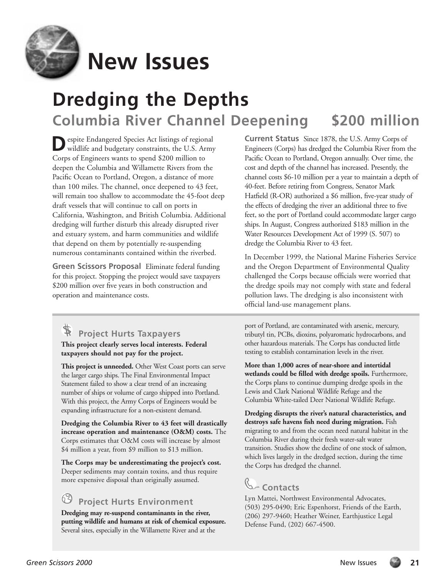

## **New Issues**

## **Dredging the Depths Columbia River Channel Deepening \$200 million**

**D**espite Endangered Species Act listings of regional wildlife and budgetary constraints, the U.S. Army Corps of Engineers wants to spend \$200 million to deepen the Columbia and Willamette Rivers from the Pacific Ocean to Portland, Oregon, a distance of more than 100 miles. The channel, once deepened to 43 feet, will remain too shallow to accommodate the 45-foot deep draft vessels that will continue to call on ports in California, Washington, and British Columbia. Additional dredging will further disturb this already disrupted river and estuary system, and harm communities and wildlife that depend on them by potentially re-suspending numerous contaminants contained within the riverbed.

**Green Scissors Proposal** Eliminate federal funding for this project. Stopping the project would save taxpayers \$200 million over five years in both construction and operation and maintenance costs.

## **Project Hurts Taxpayers**

**This project clearly serves local interests. Federal taxpayers should not pay for the project.**

**This project is unneeded.** Other West Coast ports can serve the larger cargo ships. The Final Environmental Impact Statement failed to show a clear trend of an increasing number of ships or volume of cargo shipped into Portland. With this project, the Army Corps of Engineers would be expanding infrastructure for a non-existent demand.

**Dredging the Columbia River to 43 feet will drastically increase operation and maintenance (O&M) costs.** The Corps estimates that O&M costs will increase by almost \$4 million a year, from \$9 million to \$13 million.

**The Corps may be underestimating the project's cost.** Deeper sediments may contain toxins, and thus require more expensive disposal than originally assumed.

### **Project Hurts Environment**

**Dredging may re-suspend contaminants in the river, putting wildlife and humans at risk of chemical exposure.** Several sites, especially in the Willamette River and at the

**Current Status** Since 1878, the U.S. Army Corps of Engineers (Corps) has dredged the Columbia River from the Pacific Ocean to Portland, Oregon annually. Over time, the cost and depth of the channel has increased. Presently, the channel costs \$6-10 million per a year to maintain a depth of 40-feet. Before retiring from Congress, Senator Mark Hatfield (R-OR) authorized a \$6 million, five-year study of the effects of dredging the river an additional three to five feet, so the port of Portland could accommodate larger cargo ships. In August, Congress authorized \$183 million in the Water Resources Development Act of 1999 (S. 507) to dredge the Columbia River to 43 feet.

In December 1999, the National Marine Fisheries Service and the Oregon Department of Environmental Quality challenged the Corps because officials were worried that the dredge spoils may not comply with state and federal pollution laws. The dredging is also inconsistent with official land-use management plans.

port of Portland, are contaminated with arsenic, mercury, tributyl tin, PCBs, dioxins, polyaromatic hydrocarbons, and other hazardous materials. The Corps has conducted little testing to establish contamination levels in the river.

**More than 1,000 acres of near-shore and intertidal wetlands could be filled with dredge spoils.** Furthermore, the Corps plans to continue dumping dredge spoils in the Lewis and Clark National Wildlife Refuge and the Columbia White-tailed Deer National Wildlife Refuge.

**Dredging disrupts the river's natural characteristics, and destroys safe havens fish need during migration.** Fish migrating to and from the ocean need natural habitat in the Columbia River during their fresh water-salt water transition. Studies show the decline of one stock of salmon, which lives largely in the dredged section, during the time the Corps has dredged the channel.

## **Contacts**

Lyn Mattei, Northwest Environmental Advocates, (503) 295-0490; Eric Espenhorst, Friends of the Earth, (206) 297-9460; Heather Weiner, Earthjustice Legal Defense Fund, (202) 667-4500.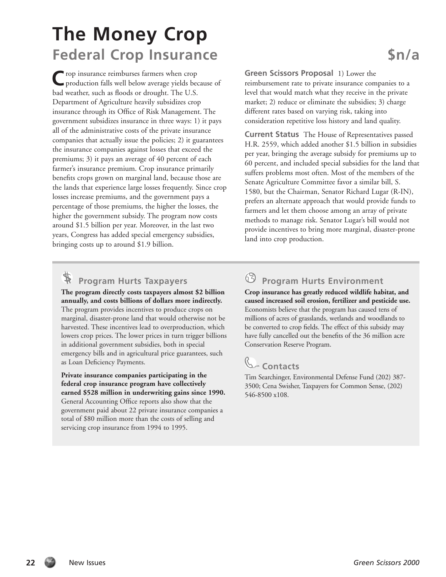## **The Money Crop Federal Crop Insurance 5n/a**

**C**rop insurance reimburses farmers when crop production falls well below average yields because of bad weather, such as floods or drought. The U.S. Department of Agriculture heavily subsidizes crop insurance through its Office of Risk Management. The government subsidizes insurance in three ways: 1) it pays all of the administrative costs of the private insurance companies that actually issue the policies; 2) it guarantees the insurance companies against losses that exceed the premiums; 3) it pays an average of 40 percent of each farmer's insurance premium. Crop insurance primarily benefits crops grown on marginal land, because those are the lands that experience large losses frequently. Since crop losses increase premiums, and the government pays a percentage of those premiums, the higher the losses, the higher the government subsidy. The program now costs around \$1.5 billion per year. Moreover, in the last two years, Congress has added special emergency subsidies, bringing costs up to around \$1.9 billion.

**Green Scissors Proposal** 1) Lower the reimbursement rate to private insurance companies to a level that would match what they receive in the private market; 2) reduce or eliminate the subsidies; 3) charge different rates based on varying risk, taking into consideration repetitive loss history and land quality.

**Current Status** The House of Representatives passed H.R. 2559, which added another \$1.5 billion in subsidies per year, bringing the average subsidy for premiums up to 60 percent, and included special subsidies for the land that suffers problems most often. Most of the members of the Senate Agriculture Committee favor a similar bill, S. 1580, but the Chairman, Senator Richard Lugar (R-IN), prefers an alternate approach that would provide funds to farmers and let them choose among an array of private methods to manage risk. Senator Lugar's bill would not provide incentives to bring more marginal, disaster-prone land into crop production.

### **Program Hurts Taxpayers**

**The program directly costs taxpayers almost \$2 billion annually, and costs billions of dollars more indirectly.** The program provides incentives to produce crops on marginal, disaster-prone land that would otherwise not be harvested. These incentives lead to overproduction, which lowers crop prices. The lower prices in turn trigger billions in additional government subsidies, both in special emergency bills and in agricultural price guarantees, such as Loan Deficiency Payments.

**Private insurance companies participating in the federal crop insurance program have collectively earned \$528 million in underwriting gains since 1990.** General Accounting Office reports also show that the government paid about 22 private insurance companies a total of \$80 million more than the costs of selling and servicing crop insurance from 1994 to 1995.

### **Program Hurts Environment**

**Crop insurance has greatly reduced wildlife habitat, and caused increased soil erosion, fertilizer and pesticide use.** Economists believe that the program has caused tens of millions of acres of grasslands, wetlands and woodlands to be converted to crop fields. The effect of this subsidy may have fully cancelled out the benefits of the 36 million acre Conservation Reserve Program.

## **Contacts**

Tim Searchinger, Environmental Defense Fund (202) 387- 3500; Cena Swisher, Taxpayers for Common Sense, (202) 546-8500 x108.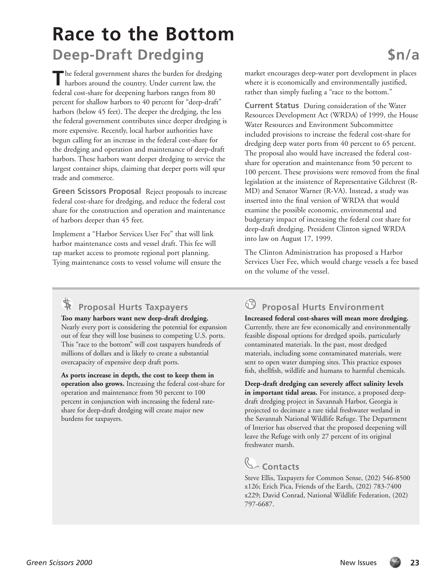## **Race to the Bottom Deep-Draft Dredging \$n/a**

The federal government shares the burden for dredging<br>harbors around the country Under suggest law that harbors around the country. Under current law, the federal cost-share for deepening harbors ranges from 80 percent for shallow harbors to 40 percent for "deep-draft" harbors (below 45 feet). The deeper the dredging, the less the federal government contributes since deeper dredging is more expensive. Recently, local harbor authorities have begun calling for an increase in the federal cost-share for the dredging and operation and maintenance of deep-draft harbors. These harbors want deeper dredging to service the largest container ships, claiming that deeper ports will spur trade and commerce.

**Green Scissors Proposal** Reject proposals to increase federal cost-share for dredging, and reduce the federal cost share for the construction and operation and maintenance of harbors deeper than 45 feet.

Implement a "Harbor Services User Fee" that will link harbor maintenance costs and vessel draft. This fee will tap market access to promote regional port planning. Tying maintenance costs to vessel volume will ensure the market encourages deep-water port development in places where it is economically and environmentally justified, rather than simply fueling a "race to the bottom."

**Current Status** During consideration of the Water Resources Development Act (WRDA) of 1999, the House Water Resources and Environment Subcommittee included provisions to increase the federal cost-share for dredging deep water ports from 40 percent to 65 percent. The proposal also would have increased the federal costshare for operation and maintenance from 50 percent to 100 percent. These provisions were removed from the final legislation at the insistence of Representative Gilchrest (R-MD) and Senator Warner (R-VA). Instead, a study was inserted into the final version of WRDA that would examine the possible economic, environmental and budgetary impact of increasing the federal cost share for deep-draft dredging. President Clinton signed WRDA into law on August 17, 1999.

The Clinton Administration has proposed a Harbor Services User Fee, which would charge vessels a fee based on the volume of the vessel.

## **Proposal Hurts Taxpayers**

**Too many harbors want new deep-draft dredging.** Nearly every port is considering the potential for expansion out of fear they will lose business to competing U.S. ports. This "race to the bottom" will cost taxpayers hundreds of millions of dollars and is likely to create a substantial overcapacity of expensive deep draft ports.

**As ports increase in depth, the cost to keep them in operation also grows.** Increasing the federal cost-share for operation and maintenance from 50 percent to 100 percent in conjunction with increasing the federal rateshare for deep-draft dredging will create major new burdens for taxpayers.

#### $63-$ **Proposal Hurts Environment**

**Increased federal cost-shares will mean more dredging.** Currently, there are few economically and environmentally feasible disposal options for dredged spoils, particularly contaminated materials. In the past, most dredged materials, including some contaminated materials, were sent to open water dumping sites. This practice exposes fish, shellfish, wildlife and humans to harmful chemicals.

**Deep-draft dredging can severely affect salinity levels in important tidal areas.** For instance, a proposed deepdraft dredging project in Savannah Harbor, Georgia is projected to decimate a rare tidal freshwater wetland in the Savannah National Wildlife Refuge. The Department of Interior has observed that the proposed deepening will leave the Refuge with only 27 percent of its original freshwater marsh.

## **Contacts**

Steve Ellis, Taxpayers for Common Sense, (202) 546-8500 x126; Erich Pica, Friends of the Earth, (202) 783-7400 x229; David Conrad, National Wildlife Federation, (202) 797-6687.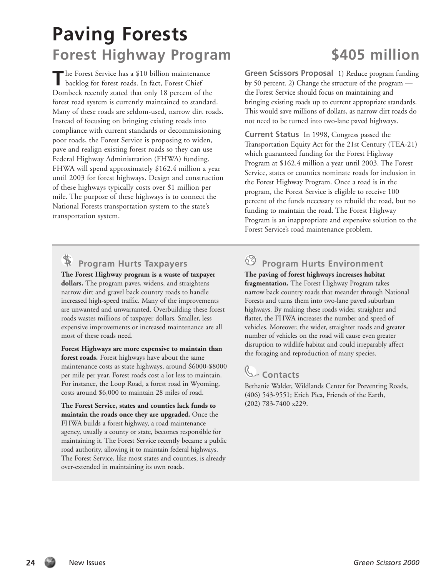## **Paving Forests Forest Highway Program \$405 million**

The Forest Service has a \$10 billion maintenance backlog for forest roads. In fact, Forest Chief Dombeck recently stated that only 18 percent of the forest road system is currently maintained to standard. Many of these roads are seldom-used, narrow dirt roads. Instead of focusing on bringing existing roads into compliance with current standards or decommissioning poor roads, the Forest Service is proposing to widen, pave and realign existing forest roads so they can use Federal Highway Administration (FHWA) funding. FHWA will spend approximately \$162.4 million a year until 2003 for forest highways. Design and construction of these highways typically costs over \$1 million per mile. The purpose of these highways is to connect the National Forests transportation system to the state's transportation system.

**Green Scissors Proposal** 1) Reduce program funding by 50 percent. 2) Change the structure of the program the Forest Service should focus on maintaining and bringing existing roads up to current appropriate standards. This would save millions of dollars, as narrow dirt roads do not need to be turned into two-lane paved highways.

**Current Status** In 1998, Congress passed the Transportation Equity Act for the 21st Century (TEA-21) which guaranteed funding for the Forest Highway Program at \$162.4 million a year until 2003. The Forest Service, states or counties nominate roads for inclusion in the Forest Highway Program. Once a road is in the program, the Forest Service is eligible to receive 100 percent of the funds necessary to rebuild the road, but no funding to maintain the road. The Forest Highway Program is an inappropriate and expensive solution to the Forest Service's road maintenance problem.

## **Program Hurts Taxpayers**

**The Forest Highway program is a waste of taxpayer dollars.** The program paves, widens, and straightens narrow dirt and gravel back country roads to handle increased high-speed traffic. Many of the improvements are unwanted and unwarranted. Overbuilding these forest roads wastes millions of taxpayer dollars. Smaller, less expensive improvements or increased maintenance are all most of these roads need.

**Forest Highways are more expensive to maintain than forest roads.** Forest highways have about the same maintenance costs as state highways, around \$6000-\$8000 per mile per year. Forest roads cost a lot less to maintain. For instance, the Loop Road, a forest road in Wyoming, costs around \$6,000 to maintain 28 miles of road.

**The Forest Service, states and counties lack funds to maintain the roads once they are upgraded.** Once the FHWA builds a forest highway, a road maintenance agency, usually a county or state, becomes responsible for maintaining it. The Forest Service recently became a public road authority, allowing it to maintain federal highways. The Forest Service, like most states and counties, is already over-extended in maintaining its own roads.

## **Program Hurts Environment**

**The paving of forest highways increases habitat fragmentation.** The Forest Highway Program takes narrow back country roads that meander through National Forests and turns them into two-lane paved suburban highways. By making these roads wider, straighter and flatter, the FHWA increases the number and speed of vehicles. Moreover, the wider, straighter roads and greater number of vehicles on the road will cause even greater disruption to wildlife habitat and could irreparably affect the foraging and reproduction of many species.

## **Contacts**

Bethanie Walder, Wildlands Center for Preventing Roads, (406) 543-9551; Erich Pica, Friends of the Earth, (202) 783-7400 x229.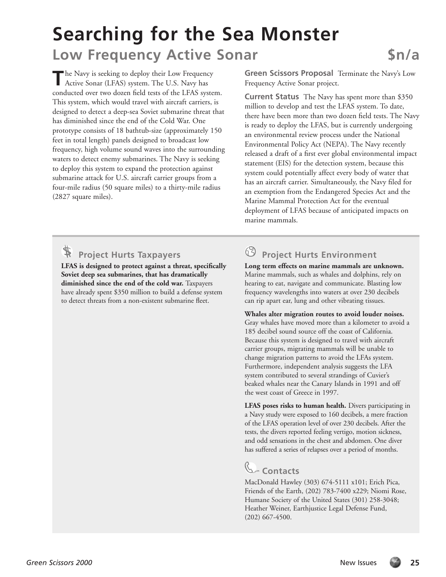## **Searching for the Sea Monster Low Frequency Active Sonar 5n/a**

**T**he Navy is seeking to deploy their Low Frequency Active Sonar (LFAS) system. The U.S. Navy has conducted over two dozen field tests of the LFAS system. This system, which would travel with aircraft carriers, is designed to detect a deep-sea Soviet submarine threat that has diminished since the end of the Cold War. One prototype consists of 18 bathtub-size (approximately 150 feet in total length) panels designed to broadcast low frequency, high volume sound waves into the surrounding waters to detect enemy submarines. The Navy is seeking to deploy this system to expand the protection against submarine attack for U.S. aircraft carrier groups from a four-mile radius (50 square miles) to a thirty-mile radius (2827 square miles).

**Green Scissors Proposal** Terminate the Navy's Low Frequency Active Sonar project.

**Current Status** The Navy has spent more than \$350 million to develop and test the LFAS system. To date, there have been more than two dozen field tests. The Navy is ready to deploy the LFAS, but is currently undergoing an environmental review process under the National Environmental Policy Act (NEPA). The Navy recently released a draft of a first ever global environmental impact statement (EIS) for the detection system, because this system could potentially affect every body of water that has an aircraft carrier. Simultaneously, the Navy filed for an exemption from the Endangered Species Act and the Marine Mammal Protection Act for the eventual deployment of LFAS because of anticipated impacts on marine mammals.

### **Project Hurts Taxpayers**

**LFAS is designed to protect against a threat, specifically Soviet deep sea submarines, that has dramatically diminished since the end of the cold war.** Taxpayers have already spent \$350 million to build a defense system to detect threats from a non-existent submarine fleet.

### **Project Hurts Environment**

**Long term effects on marine mammals are unknown.** Marine mammals, such as whales and dolphins, rely on hearing to eat, navigate and communicate. Blasting low frequency wavelengths into waters at over 230 decibels can rip apart ear, lung and other vibrating tissues.

**Whales alter migration routes to avoid louder noises.** Gray whales have moved more than a kilometer to avoid a 185 decibel sound source off the coast of California. Because this system is designed to travel with aircraft carrier groups, migrating mammals will be unable to change migration patterns to avoid the LFAs system. Furthermore, independent analysis suggests the LFA system contributed to several strandings of Cuvier's beaked whales near the Canary Islands in 1991 and off the west coast of Greece in 1997.

**LFAS poses risks to human health.** Divers participating in a Navy study were exposed to 160 decibels, a mere fraction of the LFAS operation level of over 230 decibels. After the tests, the divers reported feeling vertigo, motion sickness, and odd sensations in the chest and abdomen. One diver has suffered a series of relapses over a period of months.

## **Contacts**

MacDonald Hawley (303) 674-5111 x101; Erich Pica, Friends of the Earth, (202) 783-7400 x229; Niomi Rose, Humane Society of the United States (301) 258-3048; Heather Weiner, Earthjustice Legal Defense Fund, (202) 667-4500.